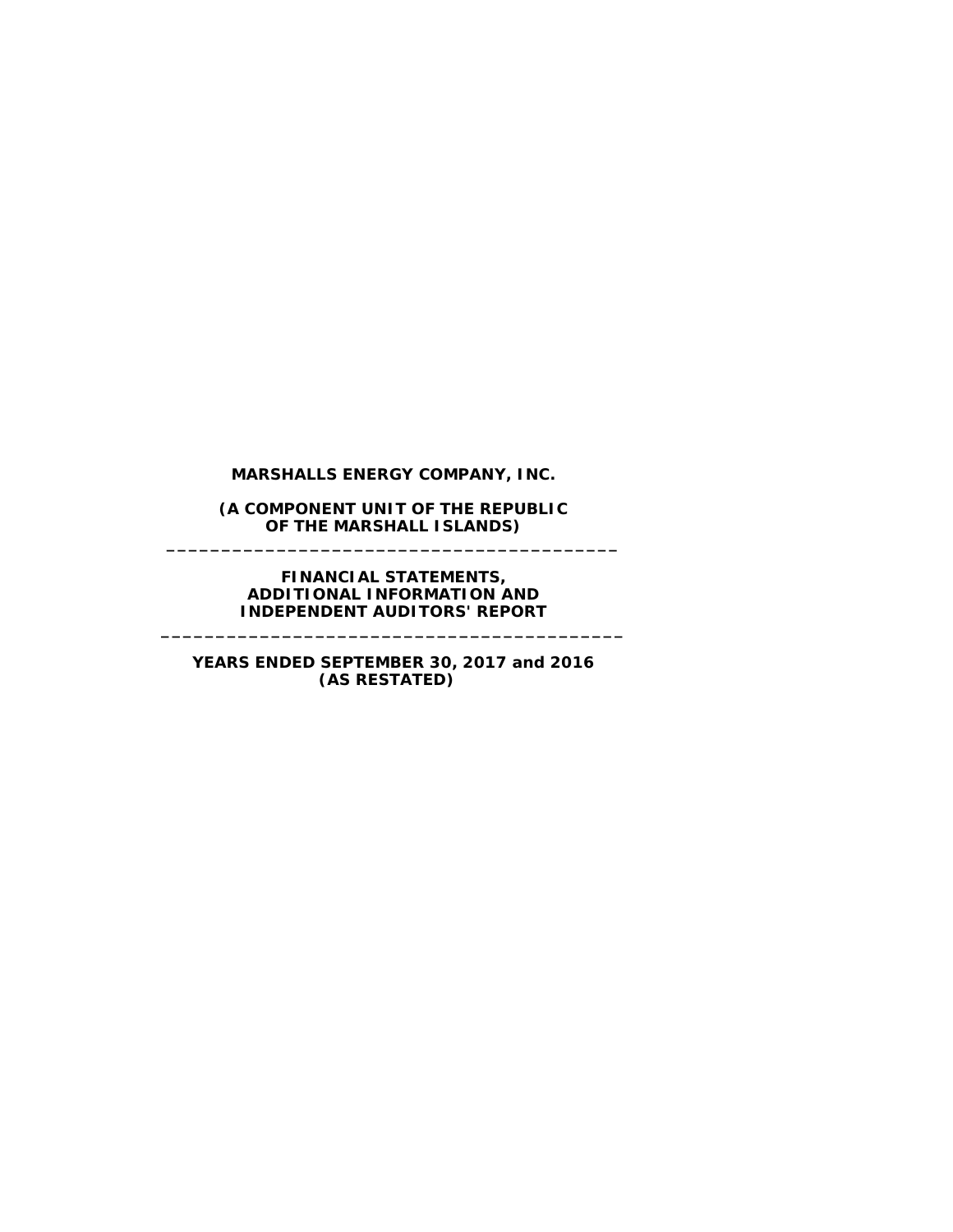**MARSHALLS ENERGY COMPANY, INC.**

**(A COMPONENT UNIT OF THE REPUBLIC OF THE MARSHALL ISLANDS) \_\_\_\_\_\_\_\_\_\_\_\_\_\_\_\_\_\_\_\_\_\_\_\_\_\_\_\_\_\_\_\_\_\_\_\_\_\_\_\_\_**

# **FINANCIAL STATEMENTS, ADDITIONAL INFORMATION AND INDEPENDENT AUDITORS' REPORT**

**\_\_\_\_\_\_\_\_\_\_\_\_\_\_\_\_\_\_\_\_\_\_\_\_\_\_\_\_\_\_\_\_\_\_\_\_\_\_\_\_\_\_**

**YEARS ENDED SEPTEMBER 30, 2017 and 2016 (AS RESTATED)**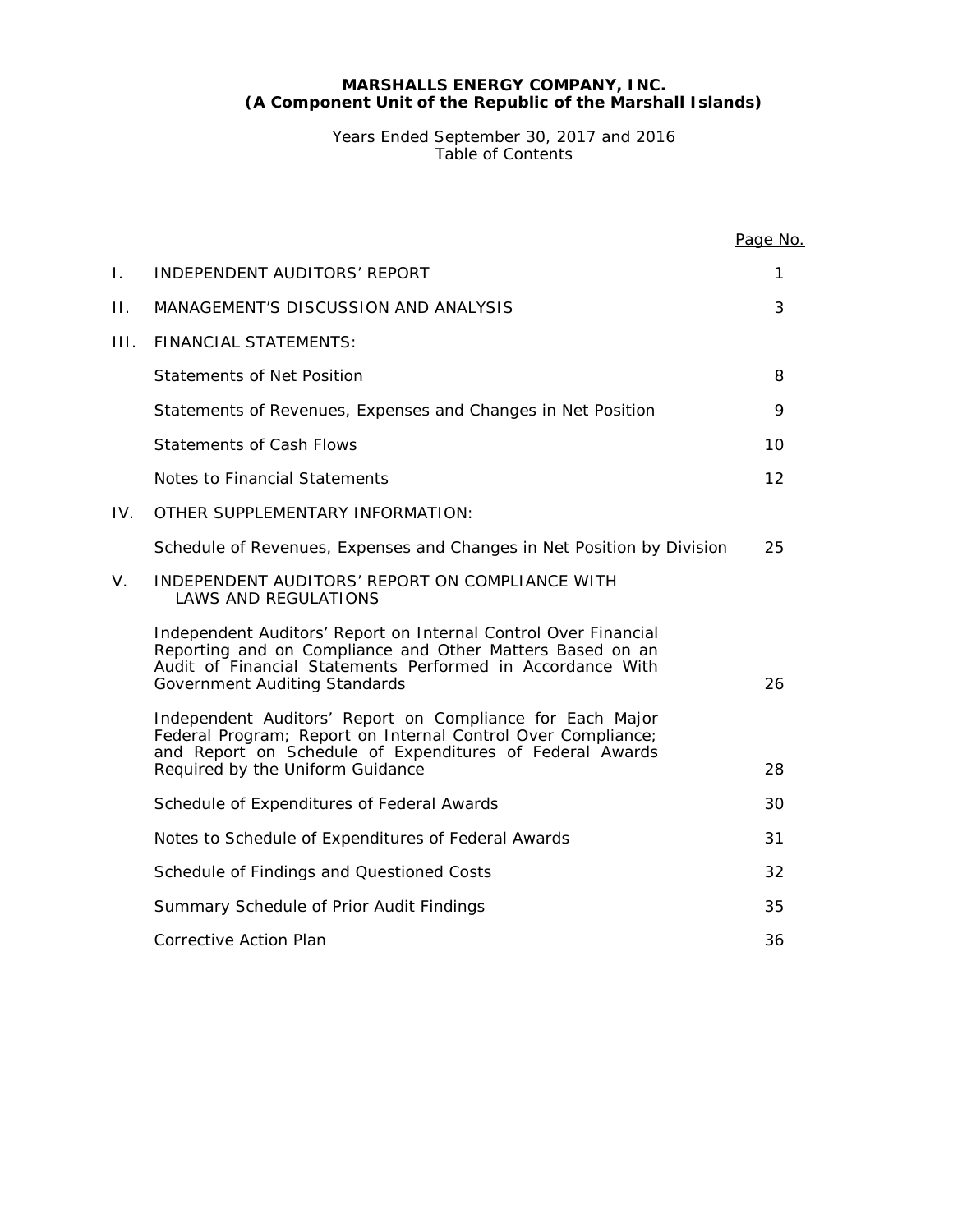Years Ended September 30, 2017 and 2016 Table of Contents

|                                                                                                                                                                                                                                    | Page No.                                                               |
|------------------------------------------------------------------------------------------------------------------------------------------------------------------------------------------------------------------------------------|------------------------------------------------------------------------|
| INDEPENDENT AUDITORS' REPORT                                                                                                                                                                                                       | 1                                                                      |
| MANAGEMENT'S DISCUSSION AND ANALYSIS                                                                                                                                                                                               | 3                                                                      |
| <b>FINANCIAL STATEMENTS:</b>                                                                                                                                                                                                       |                                                                        |
| <b>Statements of Net Position</b>                                                                                                                                                                                                  | 8                                                                      |
| Statements of Revenues, Expenses and Changes in Net Position                                                                                                                                                                       | 9                                                                      |
| <b>Statements of Cash Flows</b>                                                                                                                                                                                                    | 10                                                                     |
| Notes to Financial Statements                                                                                                                                                                                                      | 12                                                                     |
| OTHER SUPPLEMENTARY INFORMATION:                                                                                                                                                                                                   |                                                                        |
|                                                                                                                                                                                                                                    | 25                                                                     |
| INDEPENDENT AUDITORS' REPORT ON COMPLIANCE WITH<br><b>LAWS AND REGULATIONS</b>                                                                                                                                                     |                                                                        |
| Independent Auditors' Report on Internal Control Over Financial<br>Reporting and on Compliance and Other Matters Based on an<br>Audit of Financial Statements Performed in Accordance With<br><b>Government Auditing Standards</b> | 26                                                                     |
| Independent Auditors' Report on Compliance for Each Major<br>Federal Program; Report on Internal Control Over Compliance;<br>and Report on Schedule of Expenditures of Federal Awards<br>Required by the Uniform Guidance          | 28                                                                     |
| Schedule of Expenditures of Federal Awards                                                                                                                                                                                         | 30                                                                     |
| Notes to Schedule of Expenditures of Federal Awards                                                                                                                                                                                | 31                                                                     |
| Schedule of Findings and Questioned Costs                                                                                                                                                                                          | 32                                                                     |
| Summary Schedule of Prior Audit Findings                                                                                                                                                                                           | 35                                                                     |
| Corrective Action Plan                                                                                                                                                                                                             | 36                                                                     |
|                                                                                                                                                                                                                                    | Schedule of Revenues, Expenses and Changes in Net Position by Division |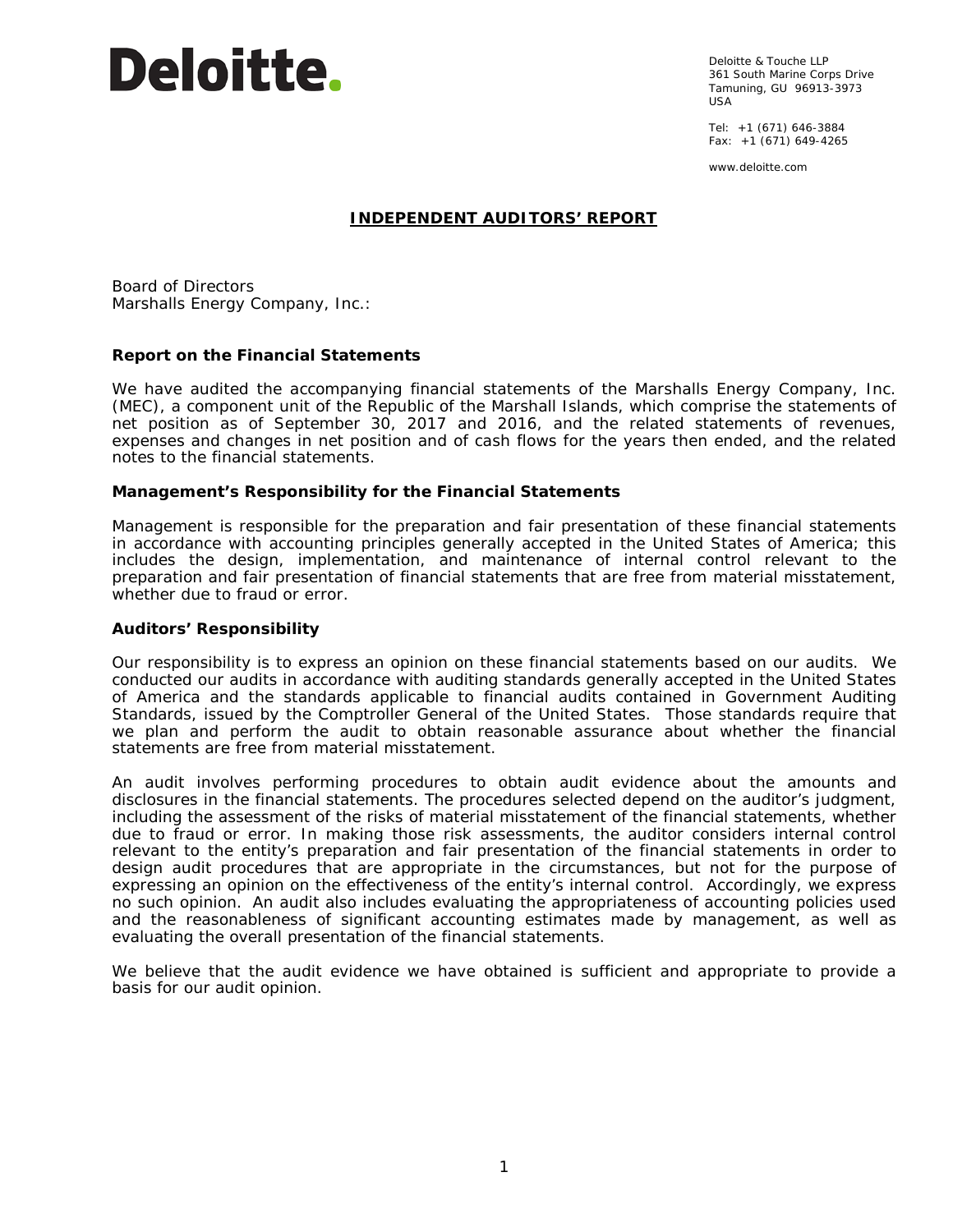# Deloitte.

Deloitte & Touche LLP 361 South Marine Corps Drive Tamuning, GU 96913-3973  $IISA$ 

Tel: +1 (671) 646-3884 Fax:  $+1$  (671) 649-4265

www.deloitte.com

# **INDEPENDENT AUDITORS' REPORT**

Board of Directors Marshalls Energy Company, Inc.:

# **Report on the Financial Statements**

We have audited the accompanying financial statements of the Marshalls Energy Company, Inc. (MEC), a component unit of the Republic of the Marshall Islands, which comprise the statements of net position as of September 30, 2017 and 2016, and the related statements of revenues, expenses and changes in net position and of cash flows for the years then ended, and the related notes to the financial statements.

# *Management's Responsibility for the Financial Statements*

Management is responsible for the preparation and fair presentation of these financial statements in accordance with accounting principles generally accepted in the United States of America; this includes the design, implementation, and maintenance of internal control relevant to the preparation and fair presentation of financial statements that are free from material misstatement, whether due to fraud or error.

# *Auditors' Responsibility*

Our responsibility is to express an opinion on these financial statements based on our audits. We conducted our audits in accordance with auditing standards generally accepted in the United States of America and the standards applicable to financial audits contained in *Government Auditing Standards,* issued by the Comptroller General of the United States. Those standards require that we plan and perform the audit to obtain reasonable assurance about whether the financial statements are free from material misstatement.

An audit involves performing procedures to obtain audit evidence about the amounts and disclosures in the financial statements. The procedures selected depend on the auditor's judgment, including the assessment of the risks of material misstatement of the financial statements, whether due to fraud or error. In making those risk assessments, the auditor considers internal control relevant to the entity's preparation and fair presentation of the financial statements in order to design audit procedures that are appropriate in the circumstances, but not for the purpose of expressing an opinion on the effectiveness of the entity's internal control. Accordingly, we express no such opinion. An audit also includes evaluating the appropriateness of accounting policies used and the reasonableness of significant accounting estimates made by management, as well as evaluating the overall presentation of the financial statements.

We believe that the audit evidence we have obtained is sufficient and appropriate to provide a basis for our audit opinion.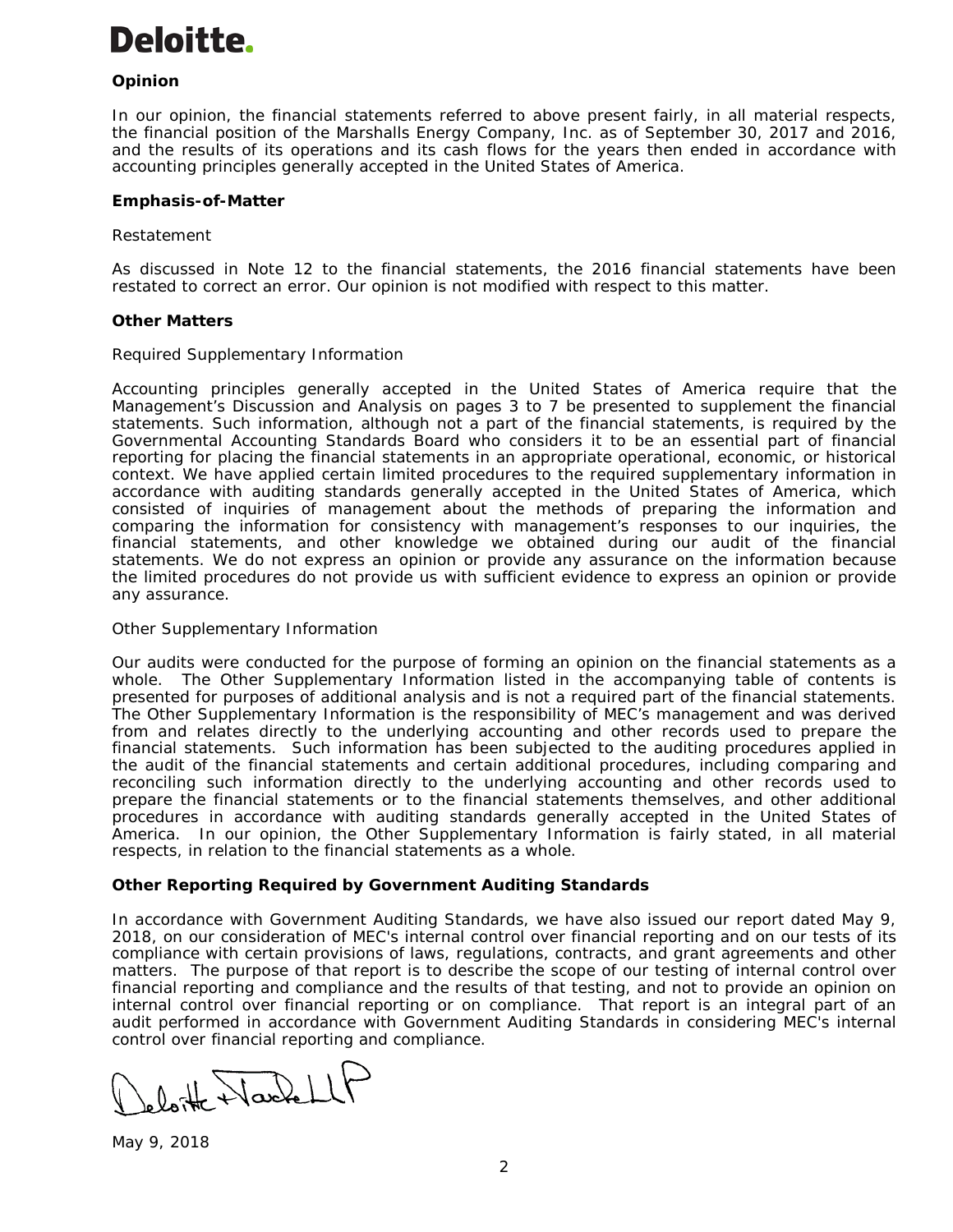# Deloitte.

# *Opinion*

In our opinion, the financial statements referred to above present fairly, in all material respects, the financial position of the Marshalls Energy Company, Inc. as of September 30, 2017 and 2016, and the results of its operations and its cash flows for the years then ended in accordance with accounting principles generally accepted in the United States of America.

# *Emphasis-of-Matter*

# *Restatement*

As discussed in Note 12 to the financial statements, the 2016 financial statements have been restated to correct an error. Our opinion is not modified with respect to this matter.

# *Other Matters*

#### *Required Supplementary Information*

Accounting principles generally accepted in the United States of America require that the Management's Discussion and Analysis on pages 3 to 7 be presented to supplement the financial statements. Such information, although not a part of the financial statements, is required by the Governmental Accounting Standards Board who considers it to be an essential part of financial reporting for placing the financial statements in an appropriate operational, economic, or historical context. We have applied certain limited procedures to the required supplementary information in accordance with auditing standards generally accepted in the United States of America, which consisted of inquiries of management about the methods of preparing the information and comparing the information for consistency with management's responses to our inquiries, the financial statements, and other knowledge we obtained during our audit of the financial statements. We do not express an opinion or provide any assurance on the information because the limited procedures do not provide us with sufficient evidence to express an opinion or provide any assurance.

# *Other Supplementary Information*

Our audits were conducted for the purpose of forming an opinion on the financial statements as a whole. The Other Supplementary Information listed in the accompanying table of contents is presented for purposes of additional analysis and is not a required part of the financial statements. The Other Supplementary Information is the responsibility of MEC's management and was derived from and relates directly to the underlying accounting and other records used to prepare the financial statements. Such information has been subjected to the auditing procedures applied in the audit of the financial statements and certain additional procedures, including comparing and reconciling such information directly to the underlying accounting and other records used to prepare the financial statements or to the financial statements themselves, and other additional procedures in accordance with auditing standards generally accepted in the United States of America. In our opinion, the Other Supplementary Information is fairly stated, in all material respects, in relation to the financial statements as a whole.

# **Other Reporting Required by** *Government Auditing Standards*

In accordance with *Government Auditing Standards*, we have also issued our report dated May 9, 2018, on our consideration of MEC's internal control over financial reporting and on our tests of its compliance with certain provisions of laws, regulations, contracts, and grant agreements and other matters. The purpose of that report is to describe the scope of our testing of internal control over financial reporting and compliance and the results of that testing, and not to provide an opinion on internal control over financial reporting or on compliance. That report is an integral part of an audit performed in accordance with *Government Auditing Standards* in considering MEC's internal control over financial reporting and compliance.

loite Narbell

May 9, 2018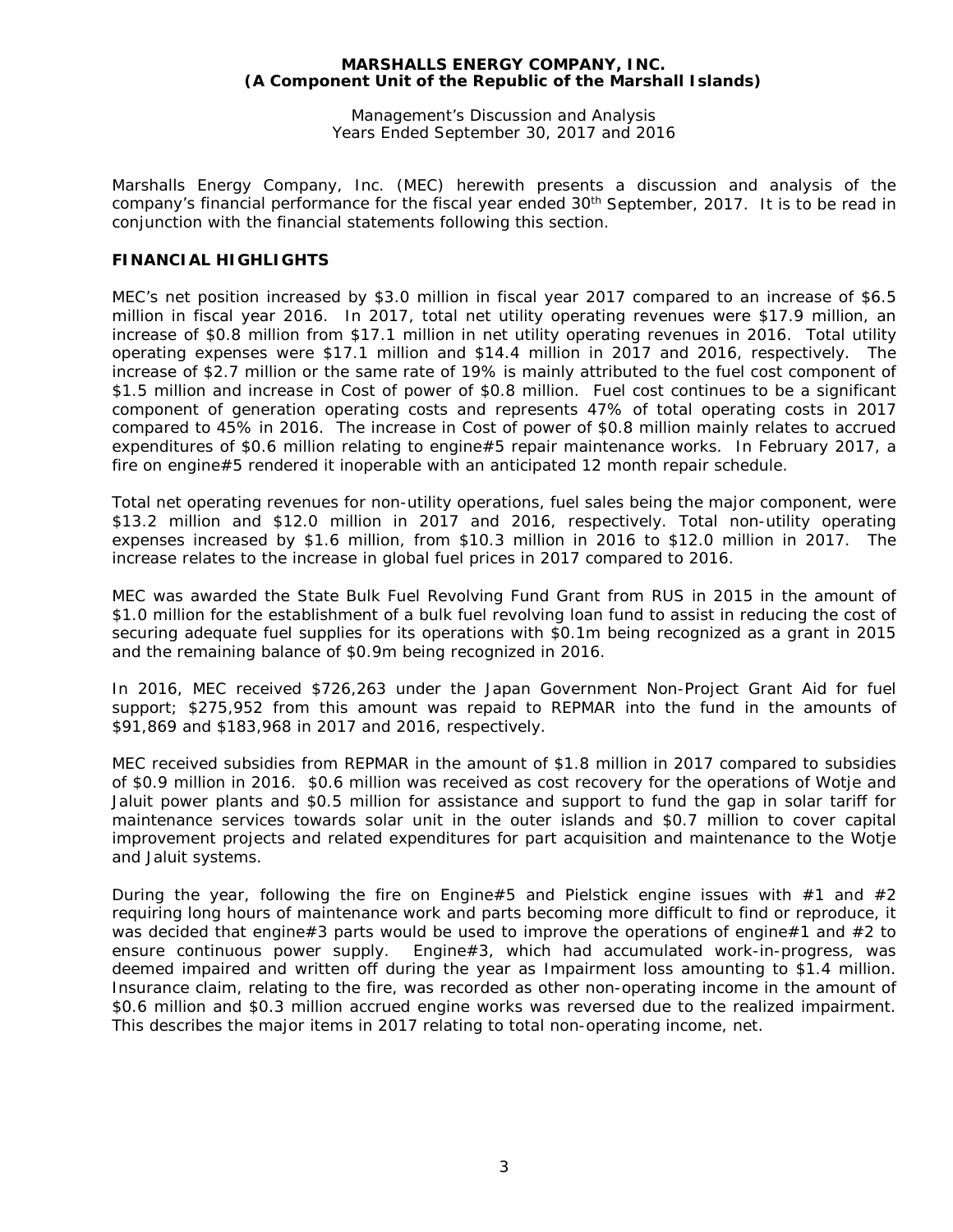Management's Discussion and Analysis Years Ended September 30, 2017 and 2016

Marshalls Energy Company, Inc. (MEC) herewith presents a discussion and analysis of the company's financial performance for the fiscal year ended 30<sup>th</sup> September, 2017. It is to be read in conjunction with the financial statements following this section.

# **FINANCIAL HIGHLIGHTS**

MEC's net position increased by \$3.0 million in fiscal year 2017 compared to an increase of \$6.5 million in fiscal year 2016. In 2017, total net utility operating revenues were \$17.9 million, an increase of \$0.8 million from \$17.1 million in net utility operating revenues in 2016. Total utility operating expenses were \$17.1 million and \$14.4 million in 2017 and 2016, respectively. The increase of \$2.7 million or the same rate of 19% is mainly attributed to the fuel cost component of \$1.5 million and increase in Cost of power of \$0.8 million. Fuel cost continues to be a significant component of generation operating costs and represents 47% of total operating costs in 2017 compared to 45% in 2016. The increase in Cost of power of \$0.8 million mainly relates to accrued expenditures of \$0.6 million relating to engine#5 repair maintenance works. In February 2017, a fire on engine#5 rendered it inoperable with an anticipated 12 month repair schedule.

Total net operating revenues for non-utility operations, fuel sales being the major component, were \$13.2 million and \$12.0 million in 2017 and 2016, respectively. Total non-utility operating expenses increased by \$1.6 million, from \$10.3 million in 2016 to \$12.0 million in 2017. The increase relates to the increase in global fuel prices in 2017 compared to 2016.

MEC was awarded the State Bulk Fuel Revolving Fund Grant from RUS in 2015 in the amount of \$1.0 million for the establishment of a bulk fuel revolving loan fund to assist in reducing the cost of securing adequate fuel supplies for its operations with \$0.1m being recognized as a grant in 2015 and the remaining balance of \$0.9m being recognized in 2016.

In 2016, MEC received \$726,263 under the Japan Government Non-Project Grant Aid for fuel support; \$275,952 from this amount was repaid to REPMAR into the fund in the amounts of \$91,869 and \$183,968 in 2017 and 2016, respectively.

MEC received subsidies from REPMAR in the amount of \$1.8 million in 2017 compared to subsidies of \$0.9 million in 2016. \$0.6 million was received as cost recovery for the operations of Wotje and Jaluit power plants and \$0.5 million for assistance and support to fund the gap in solar tariff for maintenance services towards solar unit in the outer islands and \$0.7 million to cover capital improvement projects and related expenditures for part acquisition and maintenance to the Wotje and Jaluit systems.

During the year, following the fire on Engine#5 and Pielstick engine issues with #1 and #2 requiring long hours of maintenance work and parts becoming more difficult to find or reproduce, it was decided that engine#3 parts would be used to improve the operations of engine#1 and #2 to ensure continuous power supply. Engine#3, which had accumulated work-in-progress, was deemed impaired and written off during the year as Impairment loss amounting to \$1.4 million. Insurance claim, relating to the fire, was recorded as other non-operating income in the amount of \$0.6 million and \$0.3 million accrued engine works was reversed due to the realized impairment. This describes the major items in 2017 relating to total non-operating income, net.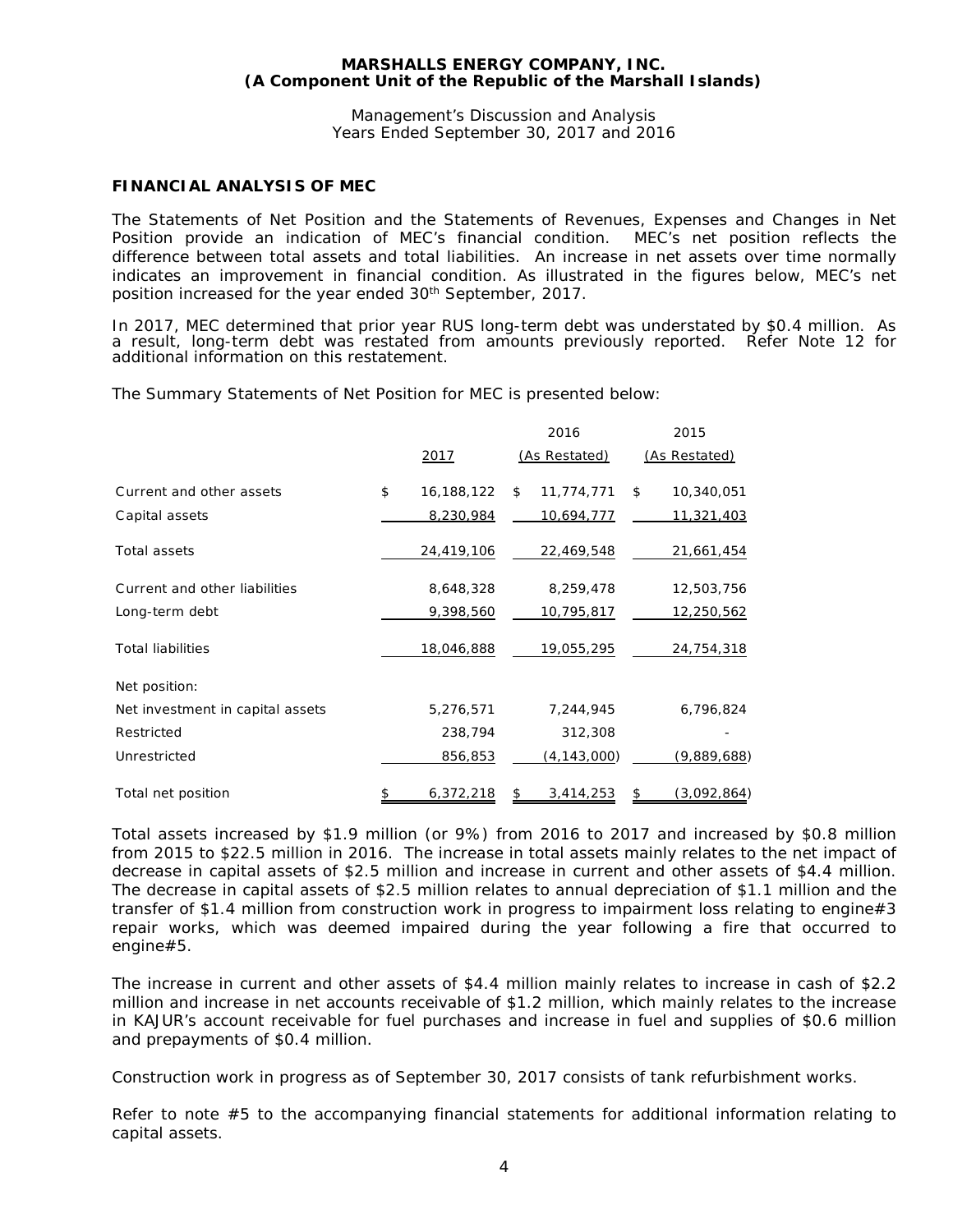Management's Discussion and Analysis Years Ended September 30, 2017 and 2016

# **FINANCIAL ANALYSIS OF MEC**

The Statements of Net Position and the Statements of Revenues, Expenses and Changes in Net Position provide an indication of MEC's financial condition. MEC's net position reflects the difference between total assets and total liabilities. An increase in net assets over time normally indicates an improvement in financial condition. As illustrated in the figures below, MEC's net position increased for the year ended 30<sup>th</sup> September, 2017.

In 2017, MEC determined that prior year RUS long-term debt was understated by \$0.4 million. As a result, long-term debt was restated from amounts previously reported. Refer Note 12 for additional information on this restatement.

The Summary Statements of Net Position for MEC is presented below:

|                                  |                  | 2016             | 2015               |
|----------------------------------|------------------|------------------|--------------------|
|                                  | 2017             | (As Restated)    | (As Restated)      |
| Current and other assets         | \$<br>16,188,122 | \$<br>11,774,771 | \$<br>10,340,051   |
| Capital assets                   | 8,230,984        | 10,694,777       | 11,321,403         |
| Total assets                     | 24,419,106       | 22,469,548       | 21,661,454         |
| Current and other liabilities    | 8,648,328        | 8,259,478        | 12,503,756         |
| Long-term debt                   | 9,398,560        | 10,795,817       | 12,250,562         |
| <b>Total liabilities</b>         | 18,046,888       | 19,055,295       | 24,754,318         |
| Net position:                    |                  |                  |                    |
| Net investment in capital assets | 5,276,571        | 7,244,945        | 6,796,824          |
| Restricted                       | 238,794          | 312,308          |                    |
| Unrestricted                     | 856,853          | (4, 143, 000)    | (9,889,688)        |
| Total net position               | 6,372,218        | 3,414,253        | <u>(3,092,864)</u> |

Total assets increased by \$1.9 million (or 9%) from 2016 to 2017 and increased by \$0.8 million from 2015 to \$22.5 million in 2016. The increase in total assets mainly relates to the net impact of decrease in capital assets of \$2.5 million and increase in current and other assets of \$4.4 million. The decrease in capital assets of \$2.5 million relates to annual depreciation of \$1.1 million and the transfer of \$1.4 million from construction work in progress to impairment loss relating to engine#3 repair works, which was deemed impaired during the year following a fire that occurred to engine#5.

The increase in current and other assets of \$4.4 million mainly relates to increase in cash of \$2.2 million and increase in net accounts receivable of \$1.2 million, which mainly relates to the increase in KAJUR's account receivable for fuel purchases and increase in fuel and supplies of \$0.6 million and prepayments of \$0.4 million.

Construction work in progress as of September 30, 2017 consists of tank refurbishment works.

Refer to note #5 to the accompanying financial statements for additional information relating to capital assets.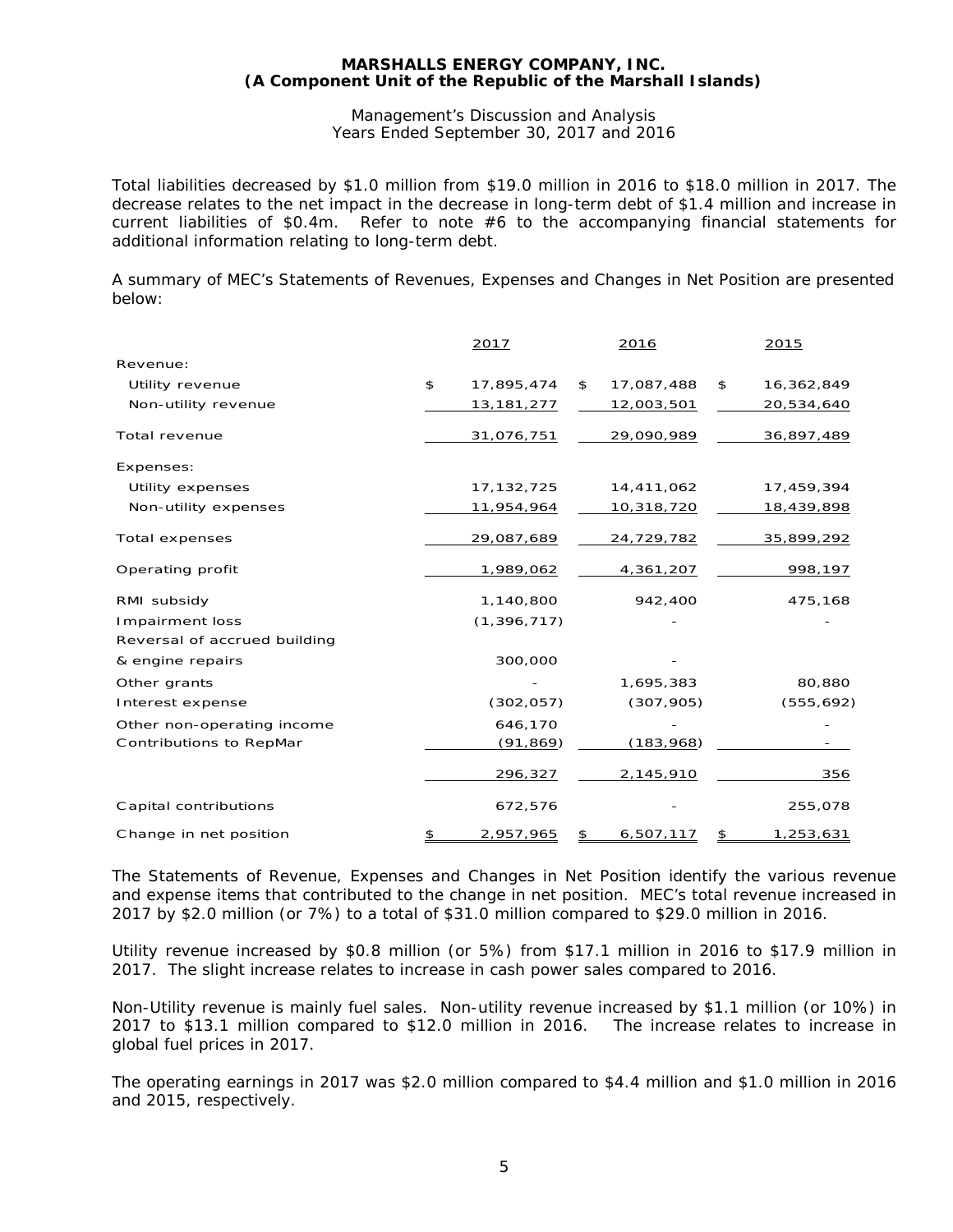Management's Discussion and Analysis Years Ended September 30, 2017 and 2016

Total liabilities decreased by \$1.0 million from \$19.0 million in 2016 to \$18.0 million in 2017. The decrease relates to the net impact in the decrease in long-term debt of \$1.4 million and increase in current liabilities of \$0.4m. Refer to note #6 to the accompanying financial statements for additional information relating to long-term debt.

A summary of MEC's Statements of Revenues, Expenses and Changes in Net Position are presented below:

|                              |               | 2017          | 2016             | 2015             |
|------------------------------|---------------|---------------|------------------|------------------|
| Revenue:                     |               |               |                  |                  |
| Utility revenue              | $\frac{1}{2}$ | 17,895,474    | \$<br>17,087,488 | \$<br>16,362,849 |
| Non-utility revenue          |               | 13,181,277    | 12,003,501       | 20,534,640       |
| Total revenue                |               | 31,076,751    | 29,090,989       | 36,897,489       |
| Expenses:                    |               |               |                  |                  |
| Utility expenses             |               | 17, 132, 725  | 14,411,062       | 17,459,394       |
| Non-utility expenses         |               | 11,954,964    | 10,318,720       | 18,439,898       |
| Total expenses               |               | 29,087,689    | 24,729,782       | 35,899,292       |
| Operating profit             |               | 1,989,062     | 4, 361, 207      | 998,197          |
| RMI subsidy                  |               | 1,140,800     | 942,400          | 475,168          |
| Impairment loss              |               | (1, 396, 717) |                  |                  |
| Reversal of accrued building |               |               |                  |                  |
| & engine repairs             |               | 300,000       |                  |                  |
| Other grants                 |               |               | 1,695,383        | 80,880           |
| Interest expense             |               | (302, 057)    | (307, 905)       | (555, 692)       |
| Other non-operating income   |               | 646,170       |                  |                  |
| Contributions to RepMar      |               | (91, 869)     | (183, 968)       |                  |
|                              |               | 296,327       | 2,145,910        | 356              |
| Capital contributions        |               | 672,576       |                  | 255,078          |
| Change in net position       | \$            | 2,957,965     | \$<br>6,507,117  | \$<br>1,253,631  |

The Statements of Revenue, Expenses and Changes in Net Position identify the various revenue and expense items that contributed to the change in net position. MEC's total revenue increased in 2017 by \$2.0 million (or 7%) to a total of \$31.0 million compared to \$29.0 million in 2016.

Utility revenue increased by \$0.8 million (or 5%) from \$17.1 million in 2016 to \$17.9 million in 2017. The slight increase relates to increase in cash power sales compared to 2016.

Non-Utility revenue is mainly fuel sales. Non-utility revenue increased by \$1.1 million (or 10%) in 2017 to \$13.1 million compared to \$12.0 million in 2016. The increase relates to increase in global fuel prices in 2017.

The operating earnings in 2017 was \$2.0 million compared to \$4.4 million and \$1.0 million in 2016 and 2015, respectively.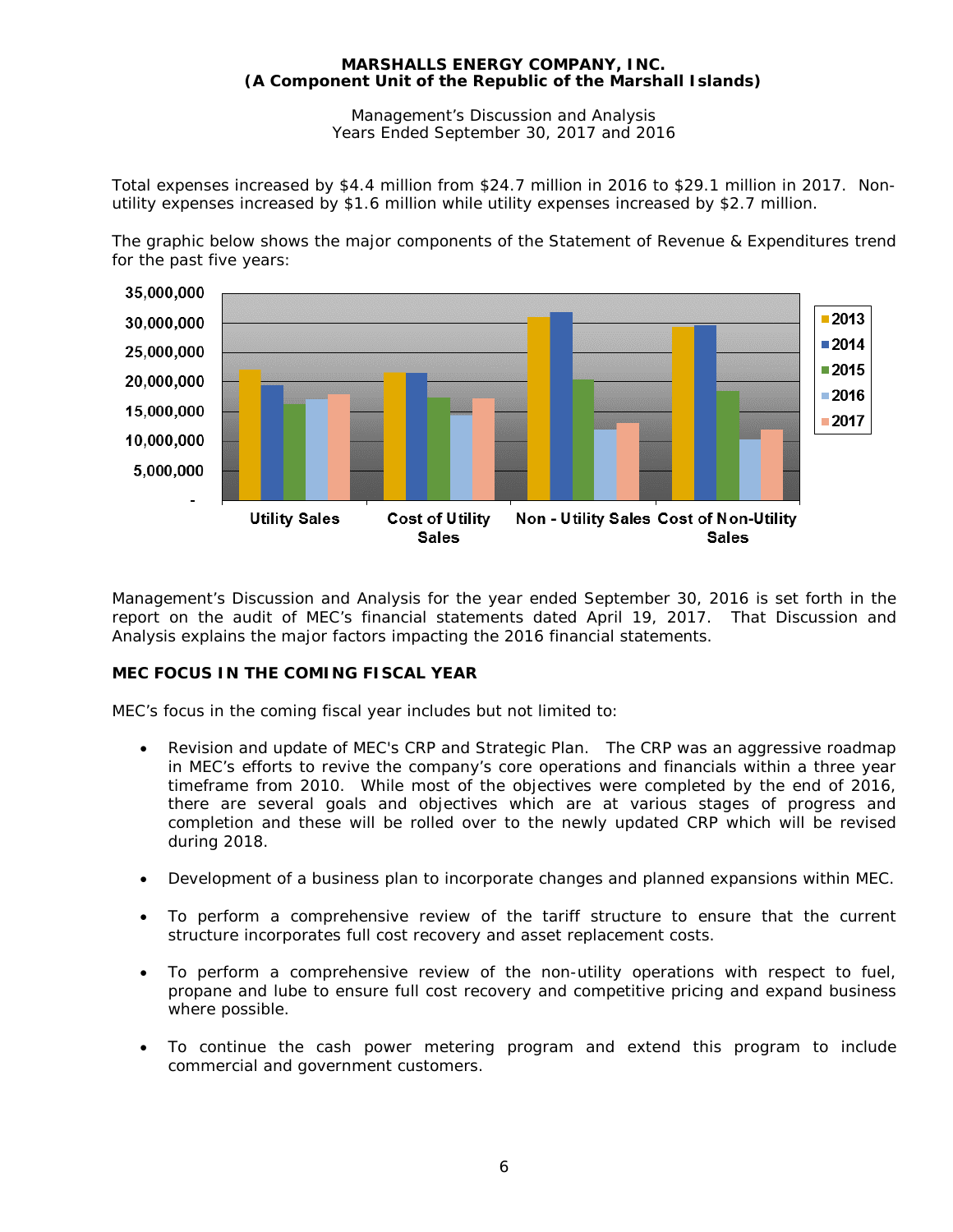Management's Discussion and Analysis Years Ended September 30, 2017 and 2016

Total expenses increased by \$4.4 million from \$24.7 million in 2016 to \$29.1 million in 2017. Nonutility expenses increased by \$1.6 million while utility expenses increased by \$2.7 million.

The graphic below shows the major components of the Statement of Revenue & Expenditures trend for the past five years:



Management's Discussion and Analysis for the year ended September 30, 2016 is set forth in the report on the audit of MEC's financial statements dated April 19, 2017. That Discussion and Analysis explains the major factors impacting the 2016 financial statements.

# **MEC FOCUS IN THE COMING FISCAL YEAR**

MEC's focus in the coming fiscal year includes but not limited to:

- Revision and update of MEC's CRP and Strategic Plan. The CRP was an aggressive roadmap in MEC's efforts to revive the company's core operations and financials within a three year timeframe from 2010. While most of the objectives were completed by the end of 2016, there are several goals and objectives which are at various stages of progress and completion and these will be rolled over to the newly updated CRP which will be revised during 2018.
- Development of a business plan to incorporate changes and planned expansions within MEC.
- To perform a comprehensive review of the tariff structure to ensure that the current structure incorporates full cost recovery and asset replacement costs.
- To perform a comprehensive review of the non-utility operations with respect to fuel, propane and lube to ensure full cost recovery and competitive pricing and expand business where possible.
- To continue the cash power metering program and extend this program to include commercial and government customers.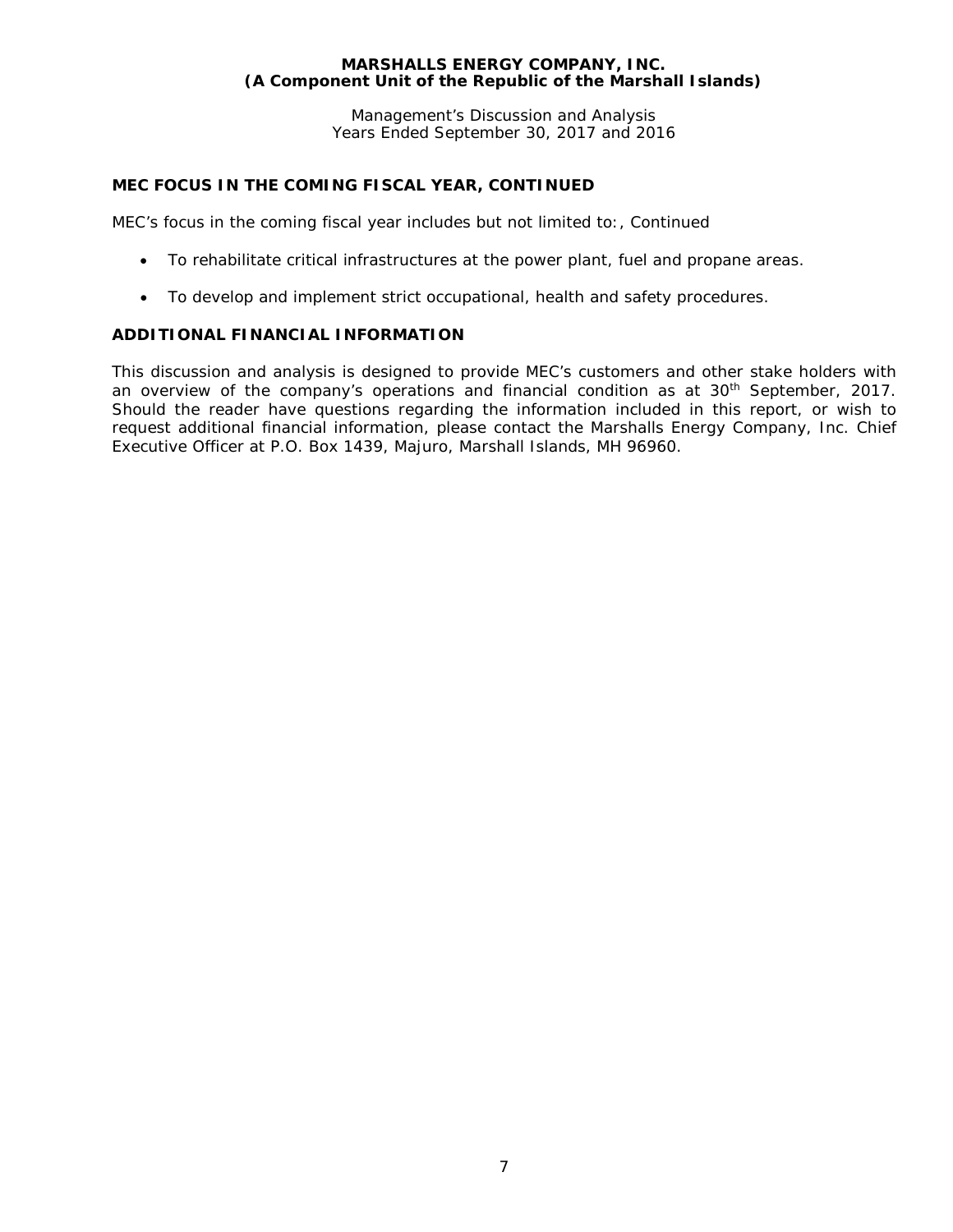Management's Discussion and Analysis Years Ended September 30, 2017 and 2016

# **MEC FOCUS IN THE COMING FISCAL YEAR, CONTINUED**

MEC's focus in the coming fiscal year includes but not limited to:, Continued

- To rehabilitate critical infrastructures at the power plant, fuel and propane areas.
- To develop and implement strict occupational, health and safety procedures.

# **ADDITIONAL FINANCIAL INFORMATION**

This discussion and analysis is designed to provide MEC's customers and other stake holders with an overview of the company's operations and financial condition as at 30<sup>th</sup> September, 2017. Should the reader have questions regarding the information included in this report, or wish to request additional financial information, please contact the Marshalls Energy Company, Inc. Chief Executive Officer at P.O. Box 1439, Majuro, Marshall Islands, MH 96960.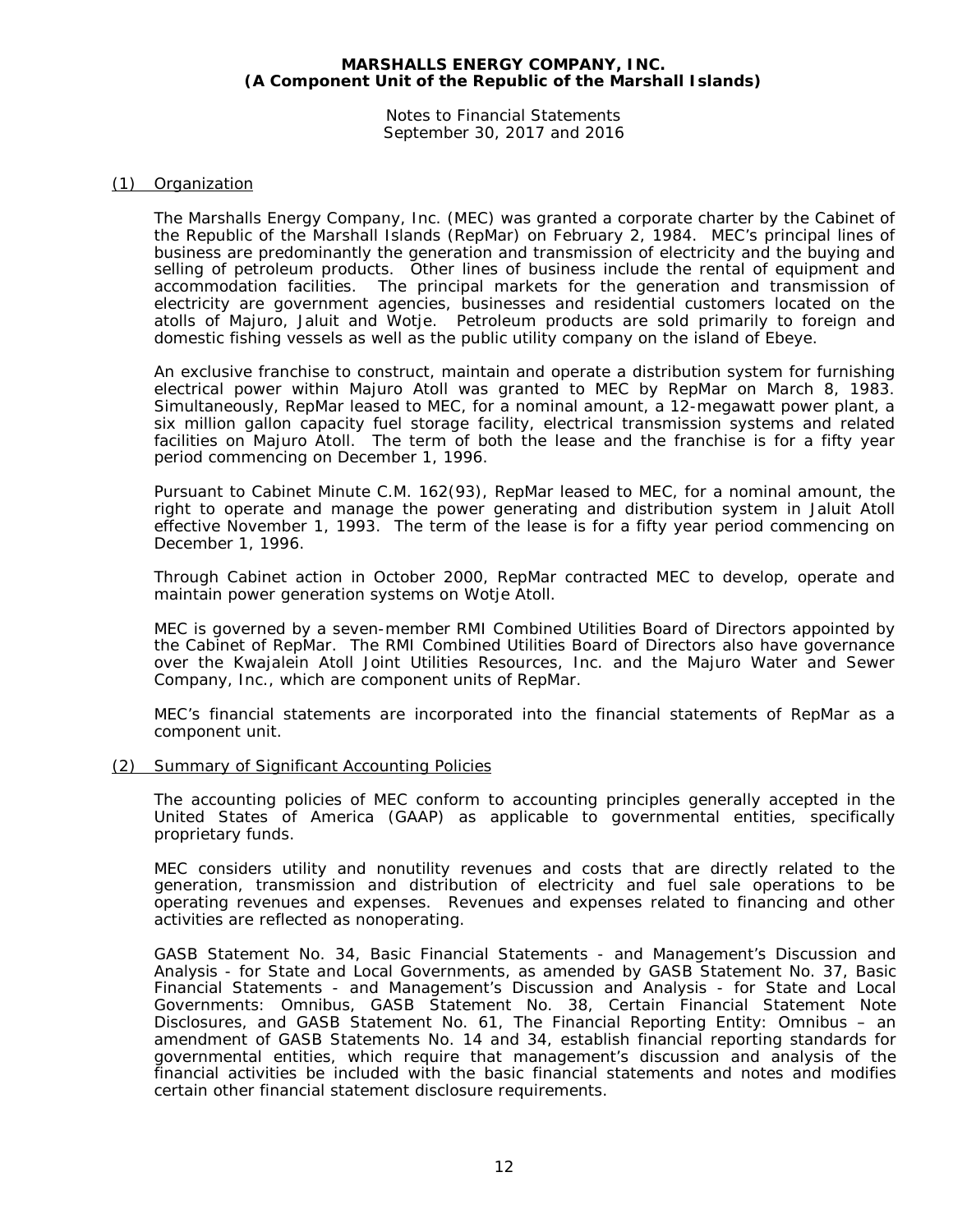Notes to Financial Statements September 30, 2017 and 2016

# (1) Organization

The Marshalls Energy Company, Inc. (MEC) was granted a corporate charter by the Cabinet of the Republic of the Marshall Islands (RepMar) on February 2, 1984. MEC's principal lines of business are predominantly the generation and transmission of electricity and the buying and selling of petroleum products. Other lines of business include the rental of equipment and accommodation facilities. The principal markets for the generation and transmission of electricity are government agencies, businesses and residential customers located on the atolls of Majuro, Jaluit and Wotje. Petroleum products are sold primarily to foreign and domestic fishing vessels as well as the public utility company on the island of Ebeye.

An exclusive franchise to construct, maintain and operate a distribution system for furnishing electrical power within Majuro Atoll was granted to MEC by RepMar on March 8, 1983. Simultaneously, RepMar leased to MEC, for a nominal amount, a 12-megawatt power plant, a six million gallon capacity fuel storage facility, electrical transmission systems and related facilities on Majuro Atoll. The term of both the lease and the franchise is for a fifty year period commencing on December 1, 1996.

Pursuant to Cabinet Minute C.M. 162(93), RepMar leased to MEC, for a nominal amount, the right to operate and manage the power generating and distribution system in Jaluit Atoll effective November 1, 1993. The term of the lease is for a fifty year period commencing on December 1, 1996.

Through Cabinet action in October 2000, RepMar contracted MEC to develop, operate and maintain power generation systems on Wotje Atoll.

MEC is governed by a seven-member RMI Combined Utilities Board of Directors appointed by the Cabinet of RepMar. The RMI Combined Utilities Board of Directors also have governance over the Kwajalein Atoll Joint Utilities Resources, Inc. and the Majuro Water and Sewer Company, Inc., which are component units of RepMar.

MEC's financial statements are incorporated into the financial statements of RepMar as a component unit.

# (2) Summary of Significant Accounting Policies

The accounting policies of MEC conform to accounting principles generally accepted in the United States of America (GAAP) as applicable to governmental entities, specifically proprietary funds.

MEC considers utility and nonutility revenues and costs that are directly related to the generation, transmission and distribution of electricity and fuel sale operations to be operating revenues and expenses. Revenues and expenses related to financing and other activities are reflected as nonoperating.

GASB Statement No. 34, *Basic Financial Statements - and Management's Discussion and Analysis - for State and Local Governments*, as amended by GASB Statement No. 37, *Basic Financial Statements - and Management's Discussion and Analysis - for State and Local Governments: Omnibus*, GASB Statement No. 38, *Certain Financial Statement Note Disclosures*, and GASB Statement No. 61, *The Financial Reporting Entity: Omnibus – an amendment of GASB Statements No. 14 and 34,* establish financial reporting standards for governmental entities, which require that management's discussion and analysis of the financial activities be included with the basic financial statements and notes and modifies certain other financial statement disclosure requirements.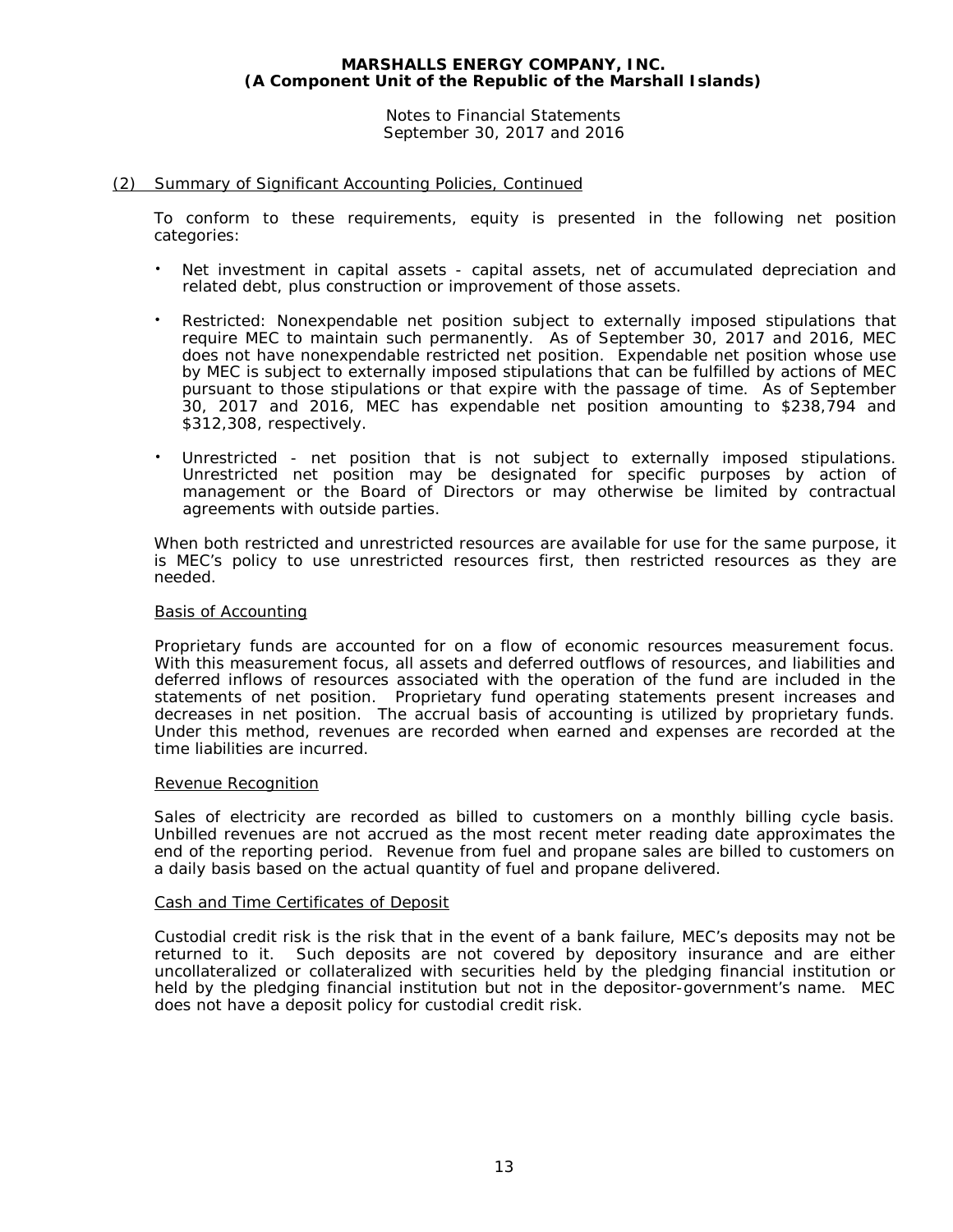Notes to Financial Statements September 30, 2017 and 2016

# (2) Summary of Significant Accounting Policies, Continued

To conform to these requirements, equity is presented in the following net position categories:

- Net investment in capital assets capital assets, net of accumulated depreciation and related debt, plus construction or improvement of those assets.
- Restricted: Nonexpendable net position subject to externally imposed stipulations that require MEC to maintain such permanently. As of September 30, 2017 and 2016, MEC does not have nonexpendable restricted net position. Expendable net position whose use by MEC is subject to externally imposed stipulations that can be fulfilled by actions of MEC pursuant to those stipulations or that expire with the passage of time. As of September 30, 2017 and 2016, MEC has expendable net position amounting to \$238,794 and \$312,308, respectively.
- Unrestricted net position that is not subject to externally imposed stipulations. Unrestricted net position may be designated for specific purposes by action of management or the Board of Directors or may otherwise be limited by contractual agreements with outside parties.

When both restricted and unrestricted resources are available for use for the same purpose, it is MEC's policy to use unrestricted resources first, then restricted resources as they are needed.

# Basis of Accounting

Proprietary funds are accounted for on a flow of economic resources measurement focus. With this measurement focus, all assets and deferred outflows of resources, and liabilities and deferred inflows of resources associated with the operation of the fund are included in the statements of net position. Proprietary fund operating statements present increases and decreases in net position. The accrual basis of accounting is utilized by proprietary funds. Under this method, revenues are recorded when earned and expenses are recorded at the time liabilities are incurred.

# Revenue Recognition

Sales of electricity are recorded as billed to customers on a monthly billing cycle basis. Unbilled revenues are not accrued as the most recent meter reading date approximates the end of the reporting period. Revenue from fuel and propane sales are billed to customers on a daily basis based on the actual quantity of fuel and propane delivered.

# Cash and Time Certificates of Deposit

Custodial credit risk is the risk that in the event of a bank failure, MEC's deposits may not be returned to it. Such deposits are not covered by depository insurance and are either uncollateralized or collateralized with securities held by the pledging financial institution or held by the pledging financial institution but not in the depositor-government's name. MEC does not have a deposit policy for custodial credit risk.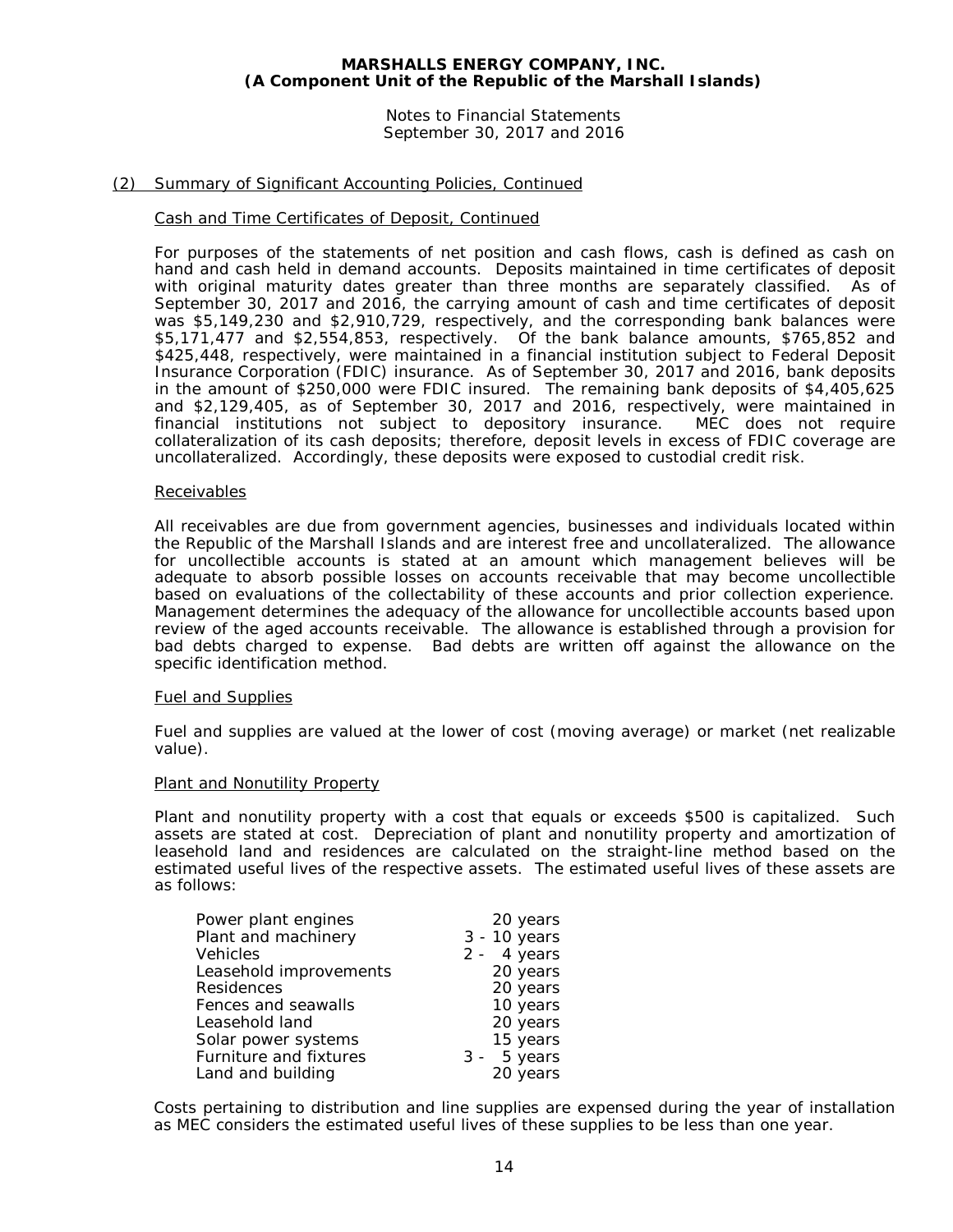Notes to Financial Statements September 30, 2017 and 2016

# (2) Summary of Significant Accounting Policies, Continued

#### Cash and Time Certificates of Deposit, Continued

For purposes of the statements of net position and cash flows, cash is defined as cash on hand and cash held in demand accounts. Deposits maintained in time certificates of deposit with original maturity dates greater than three months are separately classified. As of September 30, 2017 and 2016, the carrying amount of cash and time certificates of deposit was \$5,149,230 and \$2,910,729, respectively, and the corresponding bank balances were \$5,171,477 and \$2,554,853, respectively. Of the bank balance amounts, \$765,852 and \$425,448, respectively, were maintained in a financial institution subject to Federal Deposit Insurance Corporation (FDIC) insurance. As of September 30, 2017 and 2016, bank deposits in the amount of \$250,000 were FDIC insured. The remaining bank deposits of \$4,405,625 and \$2,129,405, as of September 30, 2017 and 2016, respectively, were maintained in financial institutions not subject to depository insurance. collateralization of its cash deposits; therefore, deposit levels in excess of FDIC coverage are uncollateralized. Accordingly, these deposits were exposed to custodial credit risk.

#### Receivables

All receivables are due from government agencies, businesses and individuals located within the Republic of the Marshall Islands and are interest free and uncollateralized. The allowance for uncollectible accounts is stated at an amount which management believes will be adequate to absorb possible losses on accounts receivable that may become uncollectible based on evaluations of the collectability of these accounts and prior collection experience. Management determines the adequacy of the allowance for uncollectible accounts based upon review of the aged accounts receivable. The allowance is established through a provision for bad debts charged to expense. Bad debts are written off against the allowance on the specific identification method.

#### Fuel and Supplies

Fuel and supplies are valued at the lower of cost (moving average) or market (net realizable value).

#### Plant and Nonutility Property

Plant and nonutility property with a cost that equals or exceeds \$500 is capitalized. Such assets are stated at cost. Depreciation of plant and nonutility property and amortization of leasehold land and residences are calculated on the straight-line method based on the estimated useful lives of the respective assets. The estimated useful lives of these assets are as follows:

| Power plant engines    | 20 years      |
|------------------------|---------------|
| Plant and machinery    | 3 - 10 years  |
| Vehicles               | $2 - 4$ years |
| Leasehold improvements | 20 years      |
| Residences             | 20 years      |
| Fences and seawalls    | 10 years      |
| Leasehold land         | 20 years      |
| Solar power systems    | 15 years      |
| Furniture and fixtures | $3 - 5$ years |
| Land and building      | 20 years      |

Costs pertaining to distribution and line supplies are expensed during the year of installation as MEC considers the estimated useful lives of these supplies to be less than one year.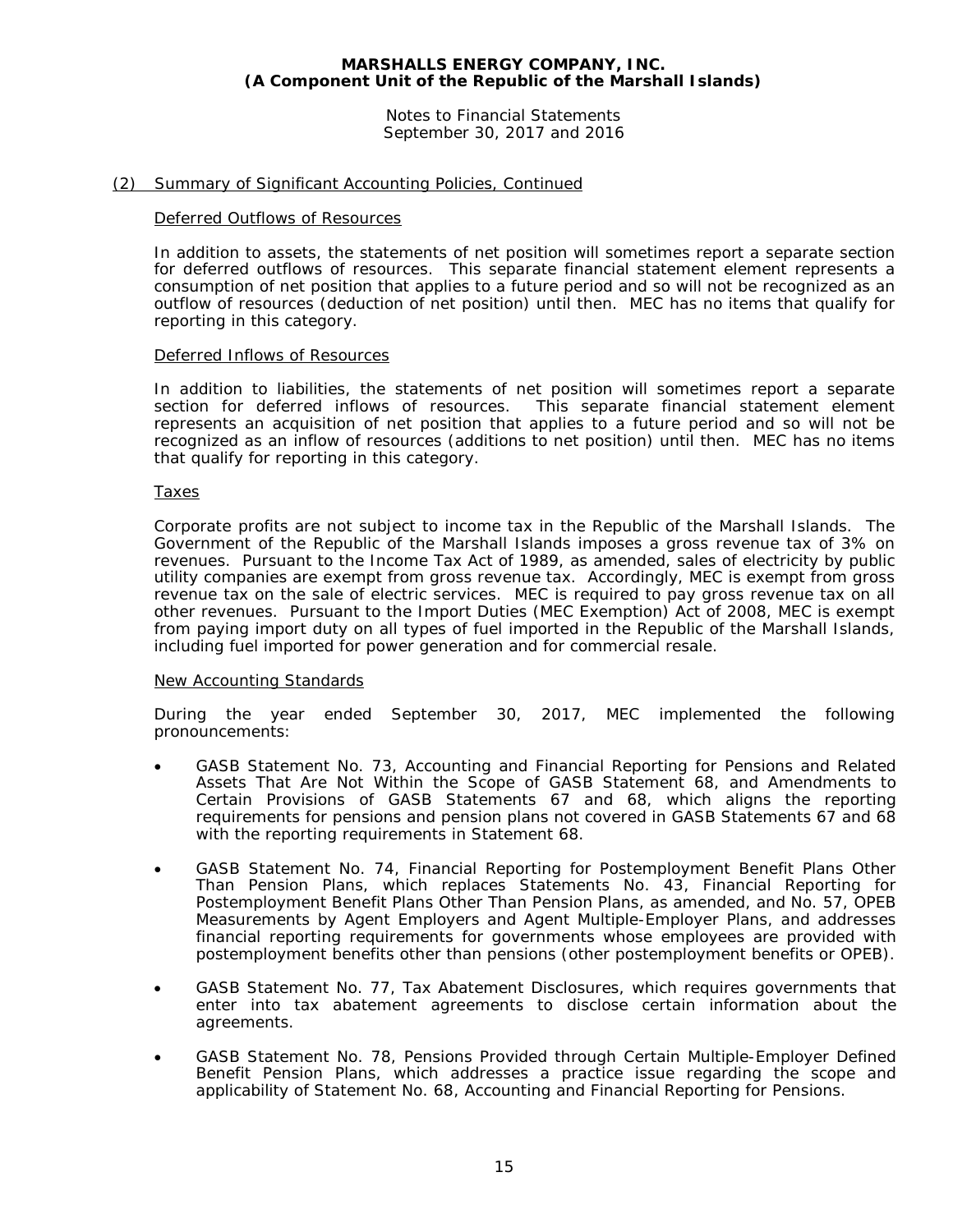Notes to Financial Statements September 30, 2017 and 2016

# (2) Summary of Significant Accounting Policies, Continued

#### Deferred Outflows of Resources

In addition to assets, the statements of net position will sometimes report a separate section for deferred outflows of resources. This separate financial statement element represents a consumption of net position that applies to a future period and so will not be recognized as an outflow of resources (deduction of net position) until then. MEC has no items that qualify for reporting in this category.

#### Deferred Inflows of Resources

In addition to liabilities, the statements of net position will sometimes report a separate section for deferred inflows of resources. This separate financial statement element represents an acquisition of net position that applies to a future period and so will not be recognized as an inflow of resources (additions to net position) until then. MEC has no items that qualify for reporting in this category.

#### Taxes

Corporate profits are not subject to income tax in the Republic of the Marshall Islands. The Government of the Republic of the Marshall Islands imposes a gross revenue tax of 3% on revenues. Pursuant to the Income Tax Act of 1989, as amended, sales of electricity by public utility companies are exempt from gross revenue tax. Accordingly, MEC is exempt from gross revenue tax on the sale of electric services. MEC is required to pay gross revenue tax on all other revenues. Pursuant to the Import Duties (MEC Exemption) Act of 2008, MEC is exempt from paying import duty on all types of fuel imported in the Republic of the Marshall Islands, including fuel imported for power generation and for commercial resale.

#### New Accounting Standards

During the year ended September 30, 2017, MEC implemented the following pronouncements:

- GASB Statement No. 73, *Accounting and Financial Reporting for Pensions and Related Assets That Are Not Within the Scope of GASB Statement 68, and Amendments to Certain Provisions of GASB Statements 67 and 68*, which aligns the reporting requirements for pensions and pension plans not covered in GASB Statements 67 and 68 with the reporting requirements in Statement 68.
- GASB Statement No. 74, *Financial Reporting for Postemployment Benefit Plans Other Than Pension Plans*, which replaces Statements No. 43, *Financial Reporting for Postemployment Benefit Plans Other Than Pension Plans, as amended,* and No. 57, *OPEB Measurements by Agent Employers and Agent Multiple-Employer Plans*, and addresses financial reporting requirements for governments whose employees are provided with postemployment benefits other than pensions (other postemployment benefits or OPEB).
- GASB Statement No. 77, *Tax Abatement Disclosures*, which requires governments that enter into tax abatement agreements to disclose certain information about the agreements.
- GASB Statement No. 78, *Pensions Provided through Certain Multiple-Employer Defined Benefit Pension Plans*, which addresses a practice issue regarding the scope and applicability of Statement No. 68, *Accounting and Financial Reporting for Pensions*.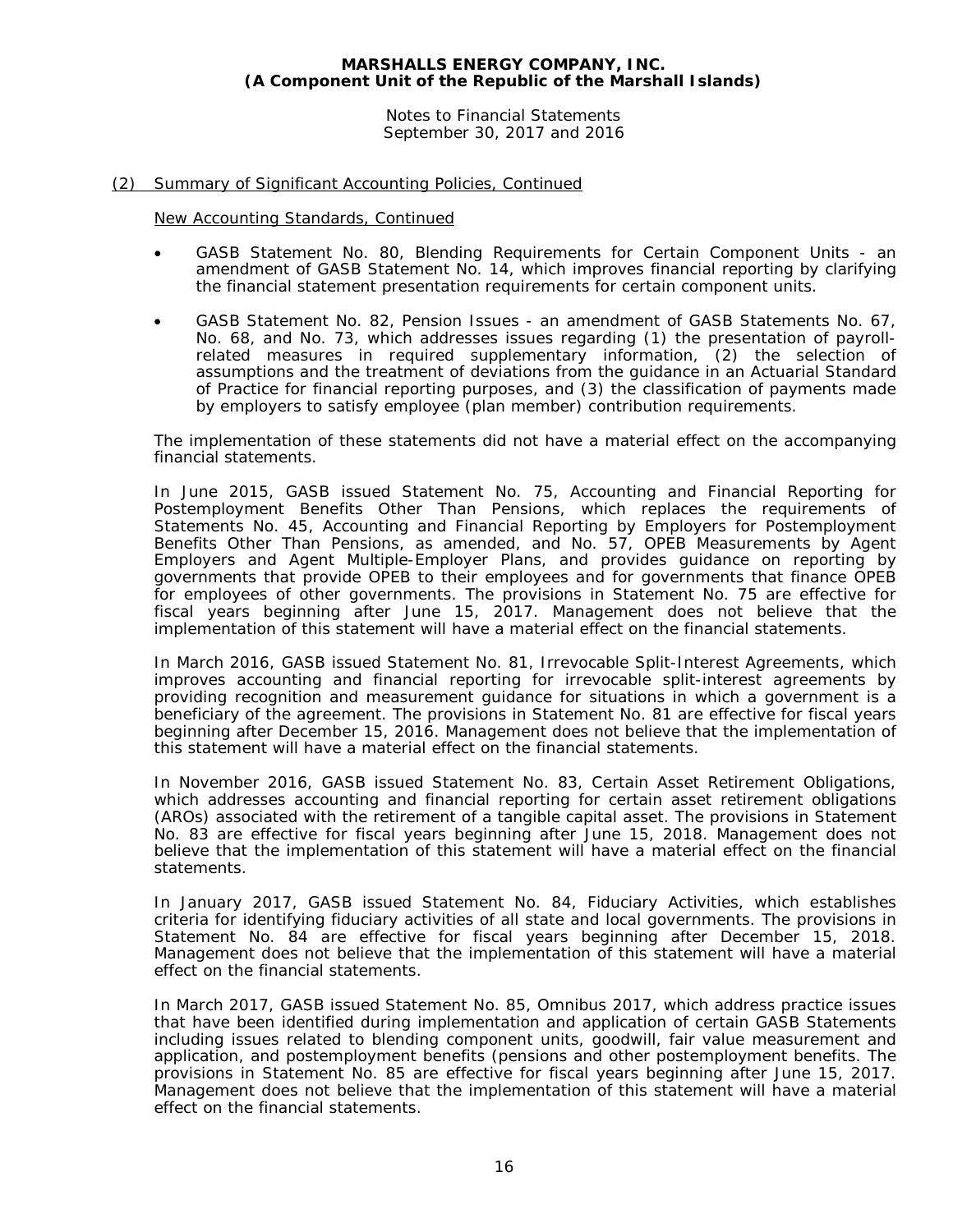Notes to Financial Statements September 30, 2017 and 2016

# (2) Summary of Significant Accounting Policies, Continued

New Accounting Standards, Continued

- GASB Statement No. 80, *Blending Requirements for Certain Component Units - an amendment of GASB Statement No. 14*, which improves financial reporting by clarifying the financial statement presentation requirements for certain component units.
- GASB Statement No. 82, *Pension Issues - an amendment of GASB Statements No. 67, No. 68, and No. 73*, which addresses issues regarding (1) the presentation of payrollrelated measures in required supplementary information, (2) the selection of assumptions and the treatment of deviations from the guidance in an Actuarial Standard of Practice for financial reporting purposes, and (3) the classification of payments made by employers to satisfy employee (plan member) contribution requirements.

The implementation of these statements did not have a material effect on the accompanying financial statements.

In June 2015, GASB issued Statement No. 75, *Accounting and Financial Reporting for Postemployment Benefits Other Than Pensions*, which replaces the requirements of Statements No. 45, *Accounting and Financial Reporting by Employers for Postemployment Benefits Other Than Pensions*, as amended, and No. 57, *OPEB Measurements by Agent Employers and Agent Multiple-Employer Plans*, and provides guidance on reporting by governments that provide OPEB to their employees and for governments that finance OPEB for employees of other governments. The provisions in Statement No. 75 are effective for fiscal years beginning after June 15, 2017. Management does not believe that the implementation of this statement will have a material effect on the financial statements.

In March 2016, GASB issued Statement No. 81, *Irrevocable Split-Interest Agreements,* which improves accounting and financial reporting for irrevocable split-interest agreements by providing recognition and measurement guidance for situations in which a government is a beneficiary of the agreement. The provisions in Statement No. 81 are effective for fiscal years beginning after December 15, 2016. Management does not believe that the implementation of this statement will have a material effect on the financial statements.

In November 2016, GASB issued Statement No. 83, *Certain Asset Retirement Obligations*, which addresses accounting and financial reporting for certain asset retirement obligations (AROs) associated with the retirement of a tangible capital asset. The provisions in Statement No. 83 are effective for fiscal years beginning after June 15, 2018. Management does not believe that the implementation of this statement will have a material effect on the financial statements.

In January 2017, GASB issued Statement No. 84, *Fiduciary Activities*, which establishes criteria for identifying fiduciary activities of all state and local governments. The provisions in Statement No. 84 are effective for fiscal years beginning after December 15, 2018. Management does not believe that the implementation of this statement will have a material effect on the financial statements.

In March 2017, GASB issued Statement No. 85, *Omnibus 2017*, which address practice issues that have been identified during implementation and application of certain GASB Statements including issues related to blending component units, goodwill, fair value measurement and application, and postemployment benefits (pensions and other postemployment benefits. The provisions in Statement No. 85 are effective for fiscal years beginning after June 15, 2017. Management does not believe that the implementation of this statement will have a material effect on the financial statements.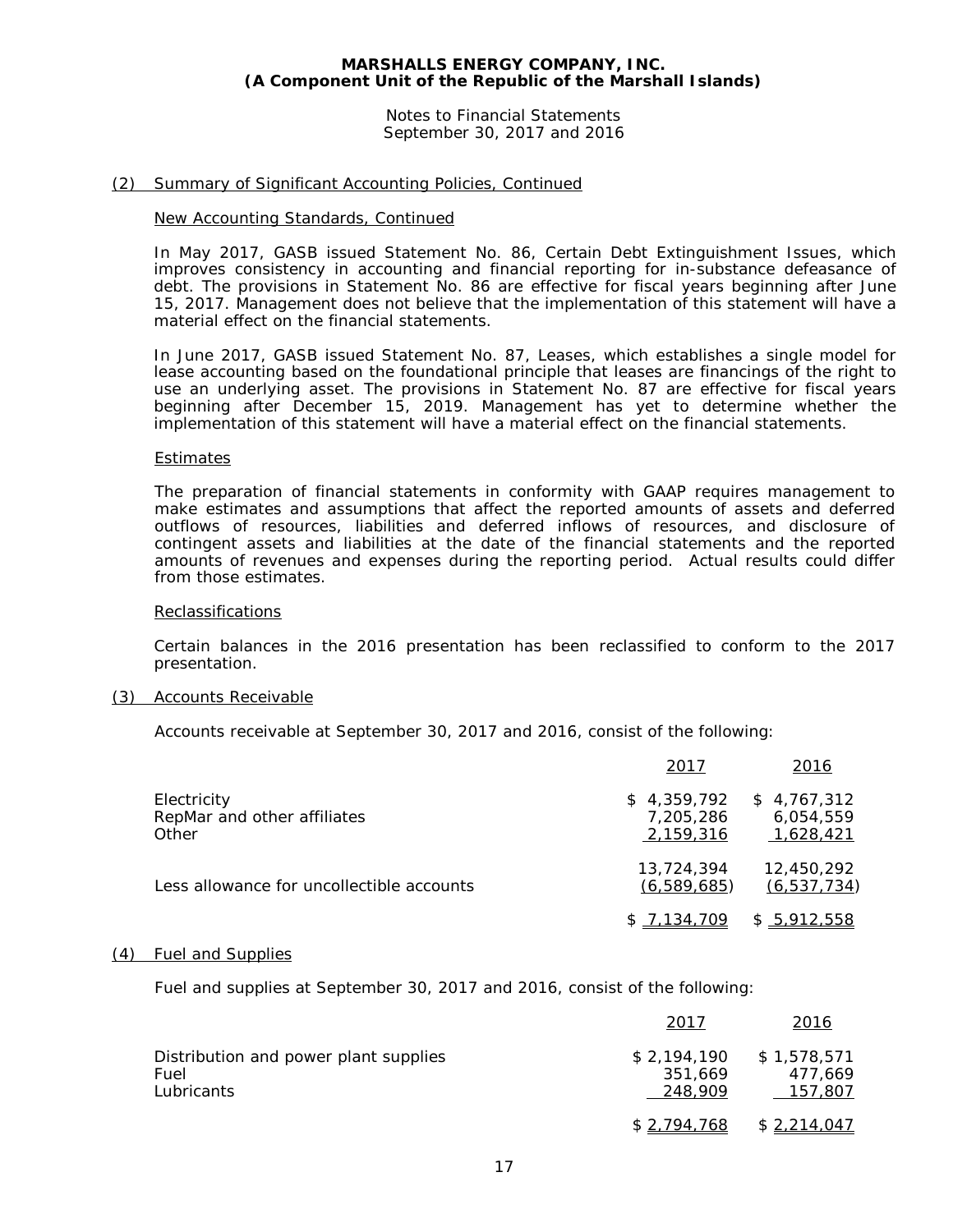Notes to Financial Statements September 30, 2017 and 2016

# (2) Summary of Significant Accounting Policies, Continued

#### New Accounting Standards, Continued

In May 2017, GASB issued Statement No. 86, *Certain Debt Extinguishment Issues*, which improves consistency in accounting and financial reporting for in-substance defeasance of debt. The provisions in Statement No. 86 are effective for fiscal years beginning after June 15, 2017. Management does not believe that the implementation of this statement will have a material effect on the financial statements.

In June 2017, GASB issued Statement No. 87, *Leases*, which establishes a single model for lease accounting based on the foundational principle that leases are financings of the right to use an underlying asset. The provisions in Statement No. 87 are effective for fiscal years beginning after December 15, 2019. Management has yet to determine whether the implementation of this statement will have a material effect on the financial statements.

#### Estimates

The preparation of financial statements in conformity with GAAP requires management to make estimates and assumptions that affect the reported amounts of assets and deferred outflows of resources, liabilities and deferred inflows of resources, and disclosure of contingent assets and liabilities at the date of the financial statements and the reported amounts of revenues and expenses during the reporting period. Actual results could differ from those estimates.

#### Reclassifications

Certain balances in the 2016 presentation has been reclassified to conform to the 2017 presentation.

#### (3) Accounts Receivable

Accounts receivable at September 30, 2017 and 2016, consist of the following:

|                                                     | 2017                                  | 2016                                  |
|-----------------------------------------------------|---------------------------------------|---------------------------------------|
| Electricity<br>RepMar and other affiliates<br>Other | \$4.359.792<br>7.205.286<br>2,159,316 | \$4,767,312<br>6.054.559<br>1,628,421 |
| Less allowance for uncollectible accounts           | 13,724,394<br>(6,589,685)             | 12,450,292<br>(6, 537, 734)           |
|                                                     | \$ 7,134,709                          | \$5,912,558                           |

#### (4) Fuel and Supplies

Fuel and supplies at September 30, 2017 and 2016, consist of the following:

|                                                             | 2017                                            | 2016                      |
|-------------------------------------------------------------|-------------------------------------------------|---------------------------|
| Distribution and power plant supplies<br>Fuel<br>Lubricants | $$2,194,190$ $$1,578,571$<br>351.669<br>248,909 | 477.669<br><u>157,807</u> |
|                                                             | \$2,794,768                                     | \$2,214,047               |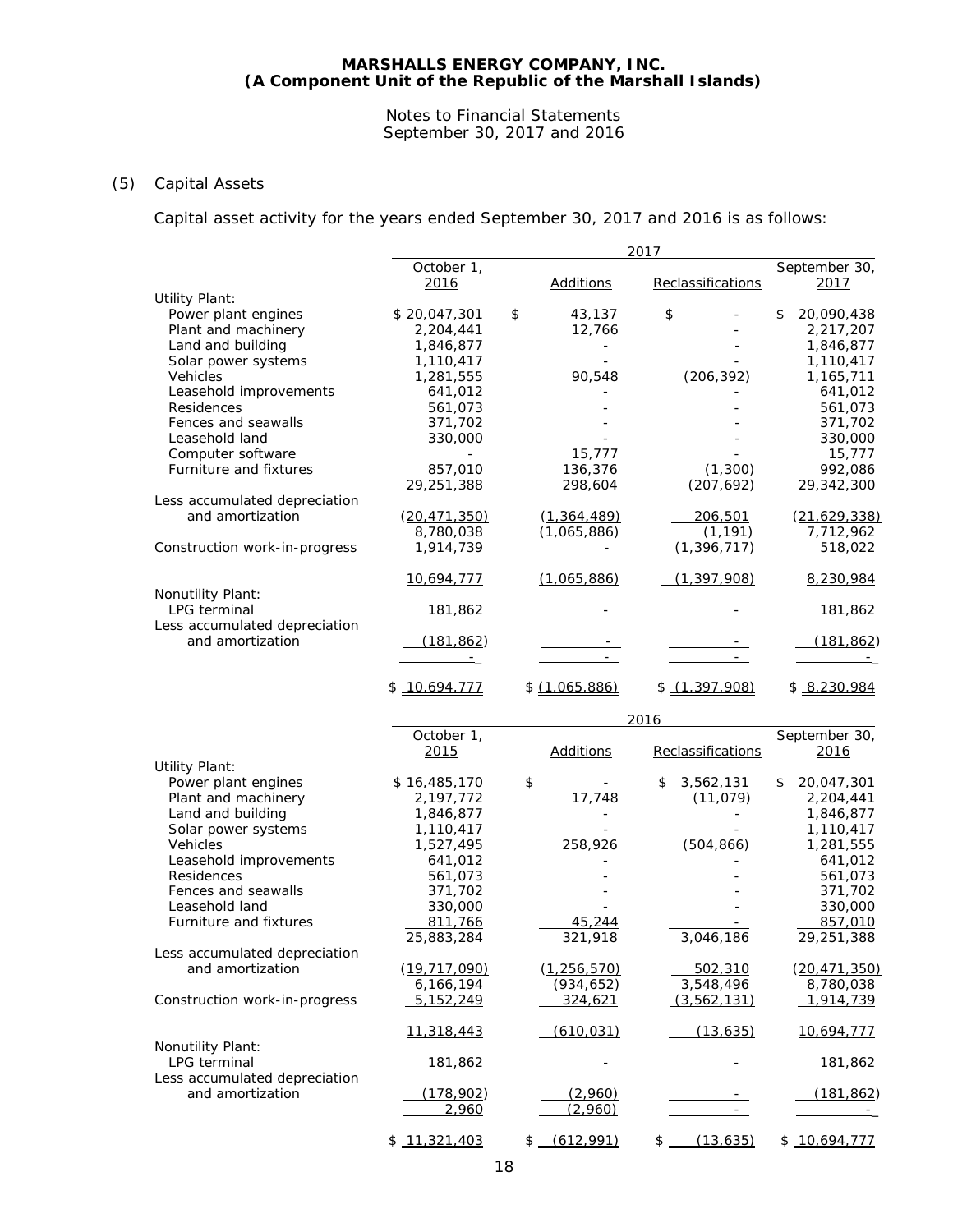Notes to Financial Statements September 30, 2017 and 2016

# (5) Capital Assets

Capital asset activity for the years ended September 30, 2017 and 2016 is as follows:

|                                             | October 1,<br>2016  | <b>Additions</b>         | Reclassifications | September 30,<br>2017 |  |
|---------------------------------------------|---------------------|--------------------------|-------------------|-----------------------|--|
| <b>Utility Plant:</b>                       |                     |                          |                   |                       |  |
| Power plant engines<br>Plant and machinery  | \$20,047,301        | \$<br>43,137             | \$                | 20,090,438<br>\$      |  |
|                                             | 2,204,441           | 12,766                   |                   | 2,217,207             |  |
| Land and building                           | 1,846,877           | $\overline{\phantom{a}}$ |                   | 1,846,877             |  |
| Solar power systems<br>Vehicles             | 1,110,417           |                          |                   | 1,110,417             |  |
|                                             | 1,281,555           | 90,548                   | (206, 392)        | 1,165,711             |  |
| Leasehold improvements                      | 641,012             |                          |                   | 641,012               |  |
| Residences<br>Fences and seawalls           | 561,073             |                          |                   | 561,073               |  |
|                                             | 371,702             |                          |                   | 371,702               |  |
| Leasehold land                              | 330,000             |                          |                   | 330,000               |  |
| Computer software<br>Furniture and fixtures |                     | 15,777                   |                   | 15,777                |  |
|                                             | 857,010             | 136,376                  | (1,300)           | 992,086               |  |
|                                             | 29,251,388          | 298,604                  | (207, 692)        | 29,342,300            |  |
| Less accumulated depreciation               |                     |                          |                   |                       |  |
| and amortization                            | <u>(20,471,350)</u> | (1, 364, 489)            | 206,501           | (21, 629, 338)        |  |
|                                             | 8,780,038           | (1,065,886)              | (1, 191)          | 7,712,962             |  |
| Construction work-in-progress               | 1,914,739           |                          | (1, 396, 717)     | 518,022               |  |
|                                             | 10,694,777          | (1,065,886)              | (1, 397, 908)     | 8,230,984             |  |
| Nonutility Plant:<br>LPG terminal           | 181,862             |                          |                   | 181,862               |  |
| Less accumulated depreciation               |                     |                          |                   |                       |  |
| and amortization                            | (181, 862)          |                          |                   | (181, 862)            |  |
|                                             |                     | $\sim$                   |                   |                       |  |
|                                             | \$10,694,777        | \$ (1,065,886)           | \$(1,397,908)     | \$ 8,230,984          |  |
|                                             |                     |                          | 2016              |                       |  |
|                                             |                     |                          |                   |                       |  |
|                                             | October 1,          |                          |                   | September 30,         |  |
|                                             | 2015                | <b>Additions</b>         | Reclassifications | 2016                  |  |
| <b>Utility Plant:</b>                       |                     |                          |                   |                       |  |
| Power plant engines                         | \$16,485,170        | \$                       | 3,562,131<br>\$   | 20,047,301<br>\$      |  |
| Plant and machinery                         | 2,197,772           | 17,748                   | (11, 079)         | 2,204,441             |  |
| Land and building                           | 1,846,877           |                          |                   | 1,846,877             |  |
| Solar power systems                         | 1,110,417           |                          |                   | 1,110,417             |  |
| Vehicles                                    | 1,527,495           | 258,926                  | (504, 866)        | 1,281,555             |  |
| Leasehold improvements                      | 641,012             |                          |                   | 641,012               |  |
| Residences                                  | 561,073             |                          |                   | 561,073               |  |
| Fences and seawalls                         | 371,702             |                          |                   | 371,702               |  |
| Leasehold land                              | 330,000             |                          |                   | 330,000               |  |
| Furniture and fixtures                      | 811,766             | 45,244                   |                   | 857,010               |  |
|                                             | 25,883,284          | 321,918                  | 3,046,186         | 29,251,388            |  |
| Less accumulated depreciation               |                     |                          |                   |                       |  |
| and amortization                            | (19,717,090)        | (1, 256, 570)            | 502,310           | (20, 471, 350)        |  |
|                                             | 6,166,194           | (934, 652)               | 3,548,496         | 8,780,038             |  |
| Construction work-in-progress               | 5,152,249           | 324,621                  | (3,562,131)       | 1,914,739             |  |
|                                             | 11,318,443          | (610, 031)               | (13, 635)         | 10,694,777            |  |
| Nonutility Plant:                           |                     |                          |                   |                       |  |
| LPG terminal                                | 181,862             |                          |                   | 181,862               |  |
| Less accumulated depreciation               |                     |                          |                   |                       |  |
| and amortization                            | (178, 902)          | (2,960)                  |                   | (181, 862)            |  |
|                                             | 2,960               | (2,960)                  |                   |                       |  |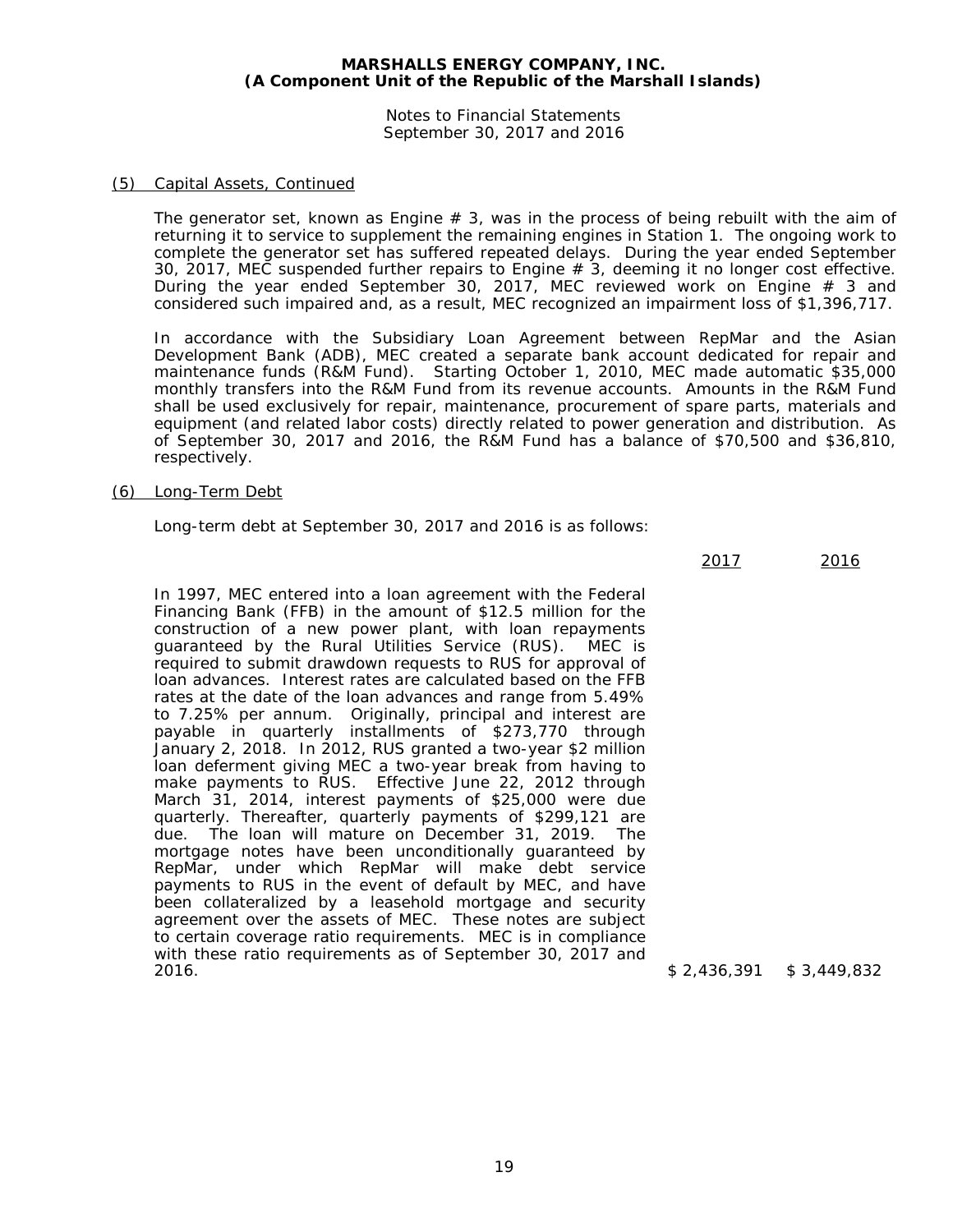> Notes to Financial Statements September 30, 2017 and 2016

# (5) Capital Assets, Continued

The generator set, known as Engine  $# 3$ , was in the process of being rebuilt with the aim of returning it to service to supplement the remaining engines in Station 1. The ongoing work to complete the generator set has suffered repeated delays. During the year ended September 30, 2017, MEC suspended further repairs to Engine # 3, deeming it no longer cost effective. During the year ended September 30, 2017, MEC reviewed work on Engine # 3 and considered such impaired and, as a result, MEC recognized an impairment loss of \$1,396,717.

In accordance with the Subsidiary Loan Agreement between RepMar and the Asian Development Bank (ADB), MEC created a separate bank account dedicated for repair and maintenance funds (R&M Fund). Starting October 1, 2010, MEC made automatic \$35,000 monthly transfers into the R&M Fund from its revenue accounts. Amounts in the R&M Fund shall be used exclusively for repair, maintenance, procurement of spare parts, materials and equipment (and related labor costs) directly related to power generation and distribution. As of September 30, 2017 and 2016, the R&M Fund has a balance of \$70,500 and \$36,810, respectively.

# (6) Long-Term Debt

Long-term debt at September 30, 2017 and 2016 is as follows:

2017 2016

In 1997, MEC entered into a loan agreement with the Federal Financing Bank (FFB) in the amount of \$12.5 million for the construction of a new power plant, with loan repayments guaranteed by the Rural Utilities Service (RUS). MEC is required to submit drawdown requests to RUS for approval of loan advances. Interest rates are calculated based on the FFB rates at the date of the loan advances and range from 5.49% to 7.25% per annum. Originally, principal and interest are payable in quarterly installments of \$273,770 through January 2, 2018. In 2012, RUS granted a two-year \$2 million loan deferment giving MEC a two-year break from having to make payments to RUS. Effective June 22, 2012 through March 31, 2014, interest payments of \$25,000 were due quarterly. Thereafter, quarterly payments of \$299,121 are due. The loan will mature on December 31, 2019. The mortgage notes have been unconditionally guaranteed by RepMar, under which RepMar will make debt service payments to RUS in the event of default by MEC, and have been collateralized by a leasehold mortgage and security agreement over the assets of MEC. These notes are subject to certain coverage ratio requirements. MEC is in compliance with these ratio requirements as of September 30, 2017 and 2016.

 $$2,436,391$   $$3,449,832$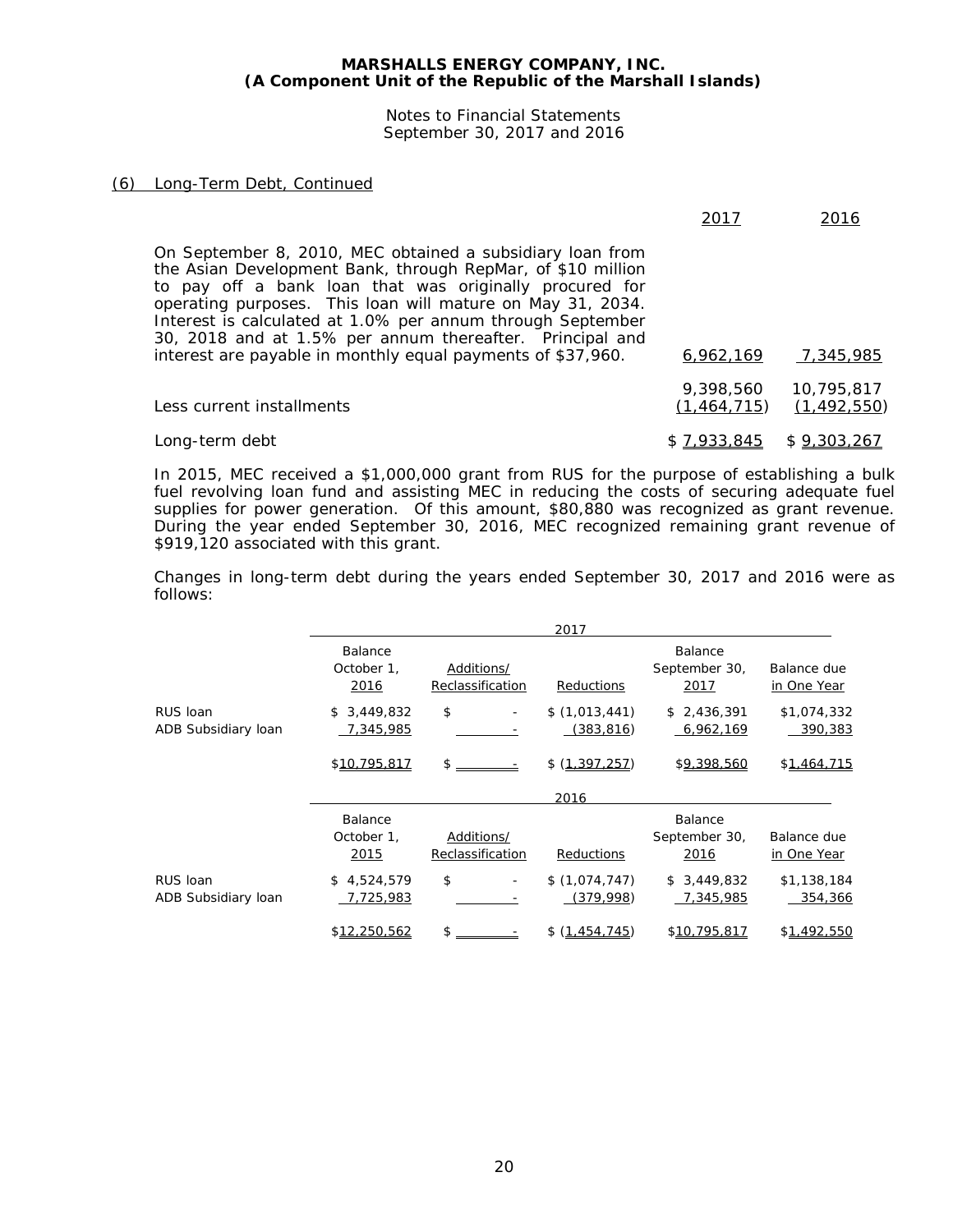Notes to Financial Statements September 30, 2017 and 2016

# (6) Long-Term Debt, Continued

|                                                                                                                                                                                                                                                                                                                                                                             | 2017                     | 2016                        |
|-----------------------------------------------------------------------------------------------------------------------------------------------------------------------------------------------------------------------------------------------------------------------------------------------------------------------------------------------------------------------------|--------------------------|-----------------------------|
| On September 8, 2010, MEC obtained a subsidiary loan from<br>the Asian Development Bank, through RepMar, of \$10 million<br>to pay off a bank loan that was originally procured for<br>operating purposes. This loan will mature on May 31, 2034.<br>Interest is calculated at 1.0% per annum through September<br>30, 2018 and at 1.5% per annum thereafter. Principal and |                          |                             |
| interest are payable in monthly equal payments of \$37,960.                                                                                                                                                                                                                                                                                                                 | 6,962,169                | 7,345,985                   |
| Less current installments                                                                                                                                                                                                                                                                                                                                                   | 9,398,560<br>(1,464,715) | 10,795,817<br>(1, 492, 550) |
| Long-term debt                                                                                                                                                                                                                                                                                                                                                              | \$7,933,845              | \$9,303,267                 |

In 2015, MEC received a \$1,000,000 grant from RUS for the purpose of establishing a bulk fuel revolving loan fund and assisting MEC in reducing the costs of securing adequate fuel supplies for power generation. Of this amount, \$80,880 was recognized as grant revenue. During the year ended September 30, 2016, MEC recognized remaining grant revenue of \$919,120 associated with this grant.

Changes in long-term debt during the years ended September 30, 2017 and 2016 were as follows:

|                                 |                                      |                                | 2017                        |                                           |                            |
|---------------------------------|--------------------------------------|--------------------------------|-----------------------------|-------------------------------------------|----------------------------|
|                                 | <b>Balance</b><br>October 1,<br>2016 | Additions/<br>Reclassification | Reductions                  | Balance<br>September 30,<br><u> 2017 </u> | Balance due<br>in One Year |
| RUS Ioan<br>ADB Subsidiary loan | \$3,449,832<br>7,345,985             | \$<br>$\qquad \qquad -$        | \$(1,013,441)<br>(383, 816) | \$2,436,391<br>6,962,169                  | \$1,074,332<br>390,383     |
|                                 | \$10,795,817                         | \$.                            | \$ (1,397,257)              | \$9,398,560                               | \$1,464,715                |
|                                 |                                      |                                | 2016                        |                                           |                            |
|                                 | <b>Balance</b><br>October 1,<br>2015 | Additions/<br>Reclassification | Reductions                  | <b>Balance</b><br>September 30,<br>2016   | Balance due<br>in One Year |
| RUS Ioan<br>ADB Subsidiary loan | \$4,524,579<br>7,725,983             | \$<br>-                        | \$(1,074,747)<br>(379,998)  | 3,449,832<br>\$<br>7,345,985              | \$1,138,184<br>354,366     |
|                                 | \$12,250.562                         |                                | \$ (1,454,745)              | \$10,795,817                              | \$1,492,550                |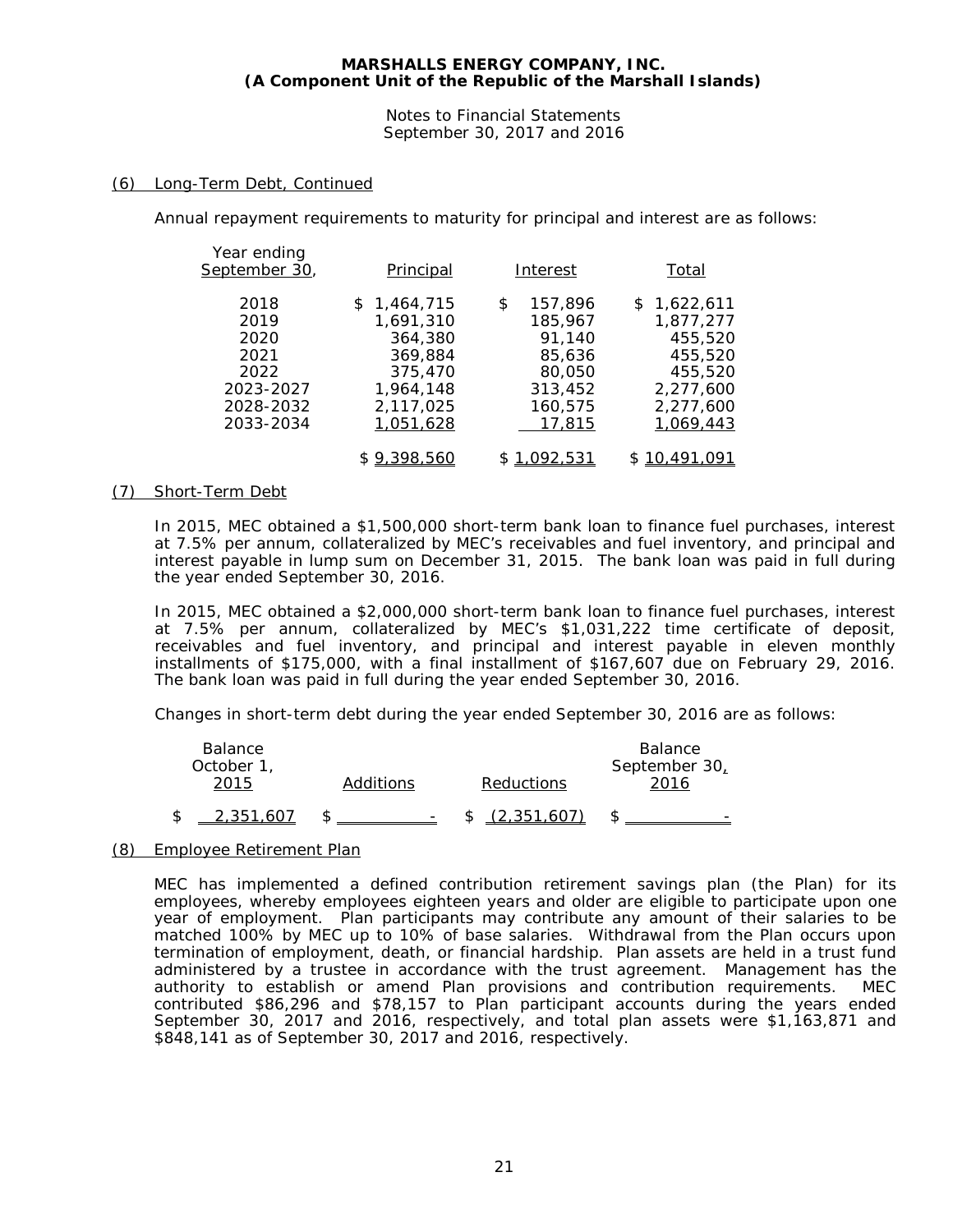Notes to Financial Statements September 30, 2017 and 2016

# (6) Long-Term Debt, Continued

Year ending

Annual repayment requirements to maturity for principal and interest are as follows:

| rear ending<br>September 30,                                                | Principal                                                                                        | Interest                                                                               | Total                                                                                            |
|-----------------------------------------------------------------------------|--------------------------------------------------------------------------------------------------|----------------------------------------------------------------------------------------|--------------------------------------------------------------------------------------------------|
| 2018<br>2019<br>2020<br>2021<br>2022<br>2023-2027<br>2028-2032<br>2033-2034 | \$1,464,715<br>1,691,310<br>364,380<br>369,884<br>375,470<br>1,964,148<br>2,117,025<br>1,051,628 | 157,896<br>\$<br>185,967<br>91.140<br>85,636<br>80,050<br>313,452<br>160,575<br>17,815 | \$1,622,611<br>1,877,277<br>455,520<br>455,520<br>455,520<br>2,277,600<br>2,277,600<br>1,069,443 |
|                                                                             | <u>\$9,398,560</u>                                                                               | \$1,092,531                                                                            | \$10,491,091                                                                                     |

# (7) Short-Term Debt

In 2015, MEC obtained a \$1,500,000 short-term bank loan to finance fuel purchases, interest at 7.5% per annum, collateralized by MEC's receivables and fuel inventory, and principal and interest payable in lump sum on December 31, 2015. The bank loan was paid in full during the year ended September 30, 2016.

In 2015, MEC obtained a \$2,000,000 short-term bank loan to finance fuel purchases, interest at 7.5% per annum, collateralized by MEC's \$1,031,222 time certificate of deposit, receivables and fuel inventory, and principal and interest payable in eleven monthly installments of \$175,000, with a final installment of \$167,607 due on February 29, 2016. The bank loan was paid in full during the year ended September 30, 2016.

Changes in short-term debt during the year ended September 30, 2016 are as follows:

| <b>Balance</b><br>October 1. |           |             | <b>Balance</b><br>September 30, |
|------------------------------|-----------|-------------|---------------------------------|
| 2015                         | Additions | Reductions  | 2016                            |
| -351 607                     |           | (2,351,607) | -                               |

# (8) Employee Retirement Plan

MEC has implemented a defined contribution retirement savings plan (the Plan) for its employees, whereby employees eighteen years and older are eligible to participate upon one year of employment. Plan participants may contribute any amount of their salaries to be matched 100% by MEC up to 10% of base salaries. Withdrawal from the Plan occurs upon termination of employment, death, or financial hardship. Plan assets are held in a trust fund administered by a trustee in accordance with the trust agreement. Management has the authority to establish or amend Plan provisions and contribution requirements. MEC contributed \$86,296 and \$78,157 to Plan participant accounts during the years ended September 30, 2017 and 2016, respectively, and total plan assets were \$1,163,871 and \$848,141 as of September 30, 2017 and 2016, respectively.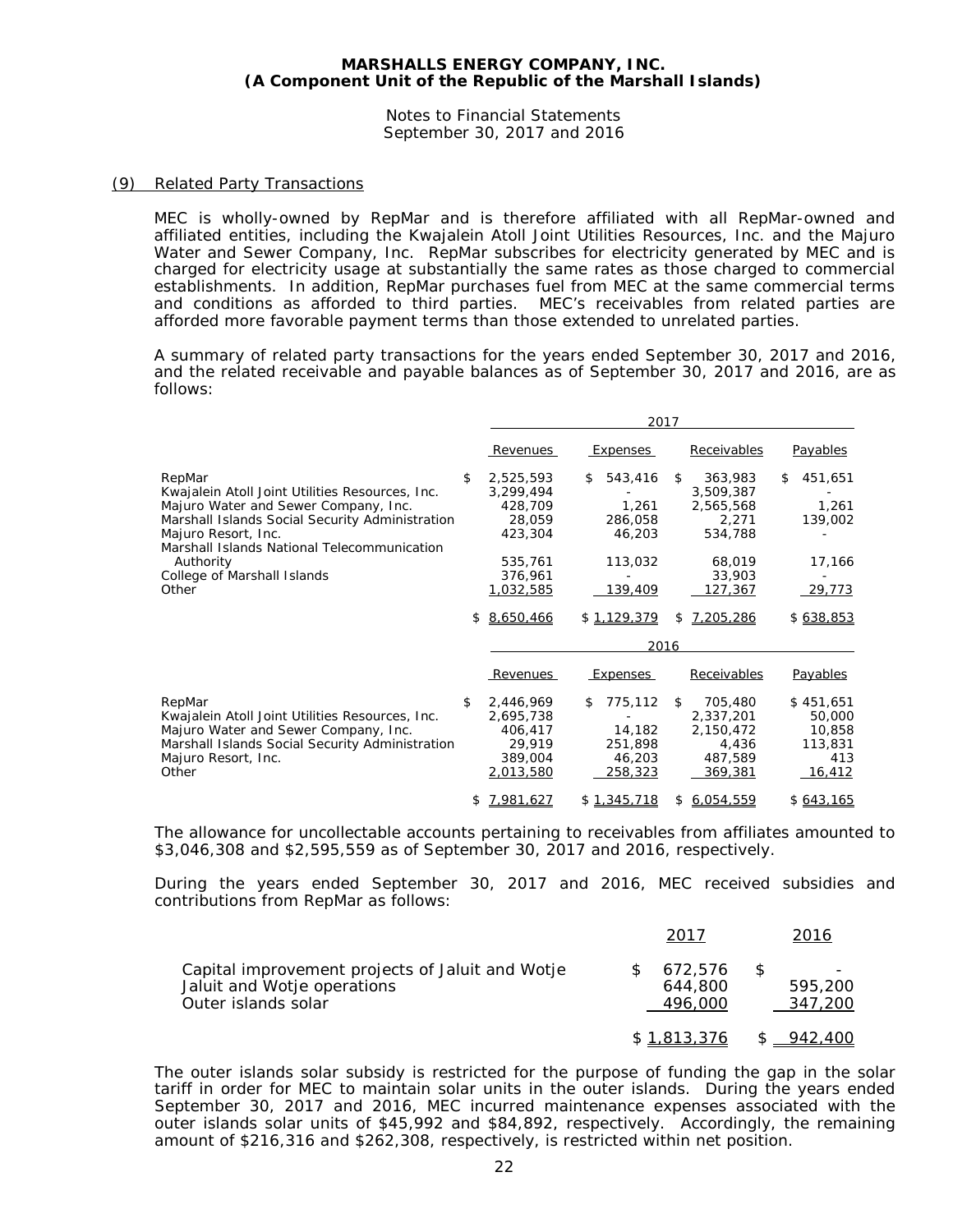Notes to Financial Statements September 30, 2017 and 2016

#### (9) Related Party Transactions

MEC is wholly-owned by RepMar and is therefore affiliated with all RepMar-owned and affiliated entities, including the Kwajalein Atoll Joint Utilities Resources, Inc. and the Majuro Water and Sewer Company, Inc. RepMar subscribes for electricity generated by MEC and is charged for electricity usage at substantially the same rates as those charged to commercial establishments. In addition, RepMar purchases fuel from MEC at the same commercial terms and conditions as afforded to third parties. MEC's receivables from related parties are afforded more favorable payment terms than those extended to unrelated parties.

A summary of related party transactions for the years ended September 30, 2017 and 2016, and the related receivable and payable balances as of September 30, 2017 and 2016, are as follows:

|                                                                                                                                                                                                                                                                                 |    | 2017                                                                                      |    |                                                             |                |                                                                                      |                                                           |
|---------------------------------------------------------------------------------------------------------------------------------------------------------------------------------------------------------------------------------------------------------------------------------|----|-------------------------------------------------------------------------------------------|----|-------------------------------------------------------------|----------------|--------------------------------------------------------------------------------------|-----------------------------------------------------------|
|                                                                                                                                                                                                                                                                                 |    | Revenues                                                                                  |    | Expenses                                                    |                | Receivables                                                                          | <b>Payables</b>                                           |
| RepMar<br>Kwajalein Atoll Joint Utilities Resources, Inc.<br>Majuro Water and Sewer Company, Inc.<br>Marshall Islands Social Security Administration<br>Majuro Resort, Inc.<br>Marshall Islands National Telecommunication<br>Authority<br>College of Marshall Islands<br>Other | \$ | 2,525,593<br>3,299,494<br>428,709<br>28,059<br>423,304<br>535,761<br>376,961<br>1,032,585 | \$ | 543,416<br>1,261<br>286,058<br>46,203<br>113,032<br>139,409 | $\mathfrak{L}$ | 363,983<br>3,509,387<br>2,565,568<br>2,271<br>534,788<br>68,019<br>33,903<br>127,367 | 451,651<br>\$<br>1,261<br>139,002<br>17,166<br>29,773     |
|                                                                                                                                                                                                                                                                                 | S. | 8,650,466                                                                                 |    | \$1.129.379                                                 | £.             | 7,205,286                                                                            | \$638,853                                                 |
|                                                                                                                                                                                                                                                                                 |    |                                                                                           |    | 2016                                                        |                |                                                                                      |                                                           |
|                                                                                                                                                                                                                                                                                 |    | Revenues                                                                                  |    | <b>Expenses</b>                                             |                | Receivables                                                                          | <b>Payables</b>                                           |
| RepMar<br>Kwajalein Atoll Joint Utilities Resources, Inc.<br>Majuro Water and Sewer Company, Inc.<br>Marshall Islands Social Security Administration<br>Majuro Resort, Inc.<br>Other                                                                                            | \$ | 2,446,969<br>2,695,738<br>406,417<br>29,919<br>389,004<br>2,013,580                       | \$ | 775,112<br>14,182<br>251,898<br>46,203<br>258,323           | \$             | 705,480<br>2,337,201<br>2,150,472<br>4,436<br>487,589<br>369,381                     | \$451,651<br>50,000<br>10,858<br>113,831<br>413<br>16,412 |
|                                                                                                                                                                                                                                                                                 | \$ | 7,981,627                                                                                 |    | \$1,345,718                                                 | S              | 6.054.559                                                                            | \$643.165                                                 |

The allowance for uncollectable accounts pertaining to receivables from affiliates amounted to \$3,046,308 and \$2,595,559 as of September 30, 2017 and 2016, respectively.

During the years ended September 30, 2017 and 2016, MEC received subsidies and contributions from RepMar as follows:

|                                                                                                        | 2017                          | 2016               |
|--------------------------------------------------------------------------------------------------------|-------------------------------|--------------------|
| Capital improvement projects of Jaluit and Wotje<br>Jaluit and Wotje operations<br>Outer islands solar | 672.576<br>644.800<br>496,000 | 595,200<br>347.200 |
|                                                                                                        | \$1,813,376                   | 942,400            |

The outer islands solar subsidy is restricted for the purpose of funding the gap in the solar tariff in order for MEC to maintain solar units in the outer islands. During the years ended September 30, 2017 and 2016, MEC incurred maintenance expenses associated with the outer islands solar units of \$45,992 and \$84,892, respectively. Accordingly, the remaining amount of \$216,316 and \$262,308, respectively, is restricted within net position.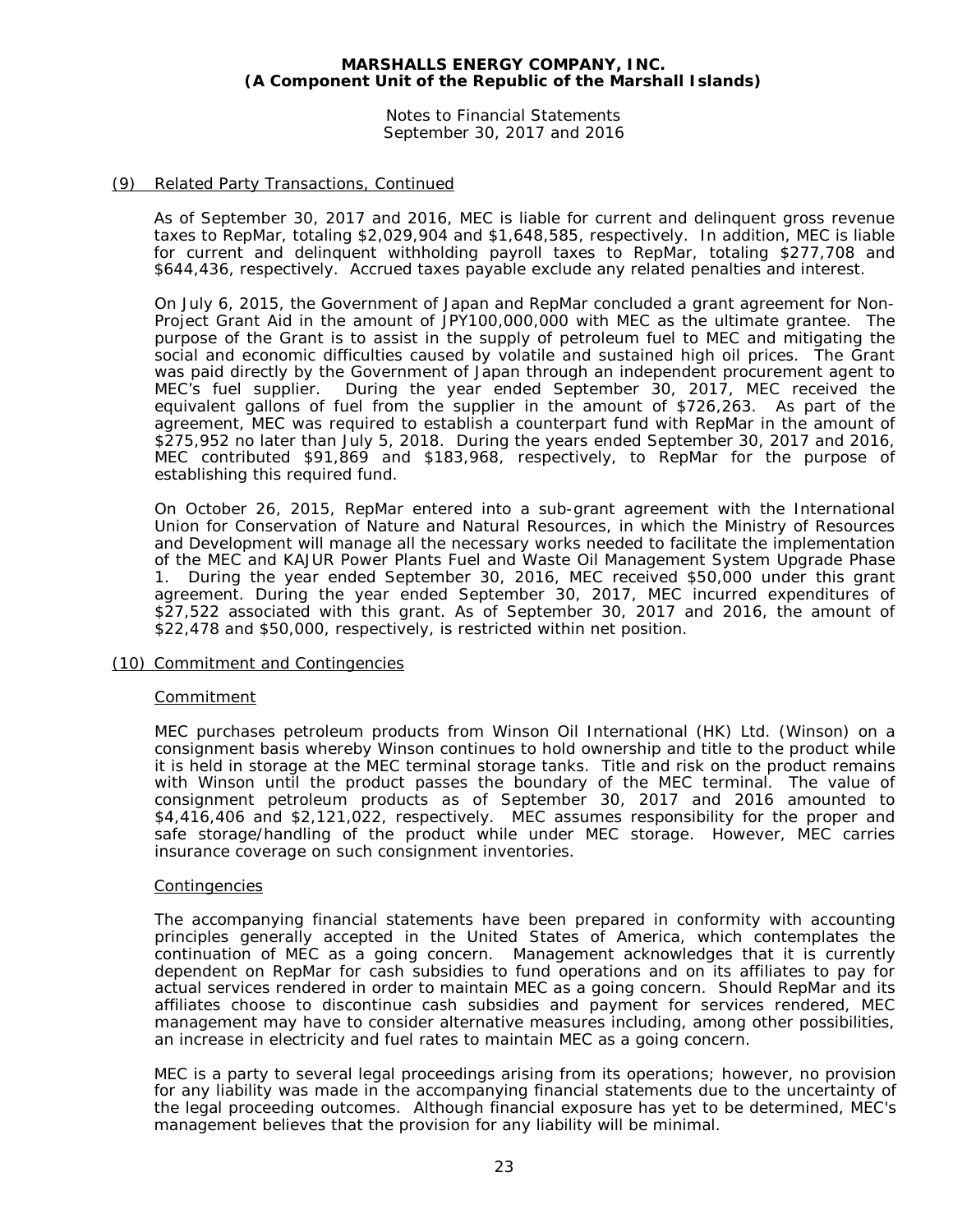Notes to Financial Statements September 30, 2017 and 2016

# (9) Related Party Transactions, Continued

As of September 30, 2017 and 2016, MEC is liable for current and delinquent gross revenue taxes to RepMar, totaling \$2,029,904 and \$1,648,585, respectively. In addition, MEC is liable for current and delinquent withholding payroll taxes to RepMar, totaling \$277,708 and \$644,436, respectively. Accrued taxes payable exclude any related penalties and interest.

On July 6, 2015, the Government of Japan and RepMar concluded a grant agreement for Non-Project Grant Aid in the amount of JPY100,000,000 with MEC as the ultimate grantee. The purpose of the Grant is to assist in the supply of petroleum fuel to MEC and mitigating the social and economic difficulties caused by volatile and sustained high oil prices. The Grant was paid directly by the Government of Japan through an independent procurement agent to MEC's fuel supplier. During the year ended September 30, 2017, MEC received the equivalent gallons of fuel from the supplier in the amount of \$726,263. As part of the agreement, MEC was required to establish a counterpart fund with RepMar in the amount of \$275,952 no later than July 5, 2018. During the years ended September 30, 2017 and 2016, MEC contributed \$91,869 and \$183,968, respectively, to RepMar for the purpose of establishing this required fund.

On October 26, 2015, RepMar entered into a sub-grant agreement with the International Union for Conservation of Nature and Natural Resources, in which the Ministry of Resources and Development will manage all the necessary works needed to facilitate the implementation of the MEC and KAJUR Power Plants Fuel and Waste Oil Management System Upgrade Phase 1. During the year ended September 30, 2016, MEC received \$50,000 under this grant agreement. During the year ended September 30, 2017, MEC incurred expenditures of \$27,522 associated with this grant. As of September 30, 2017 and 2016, the amount of \$22,478 and \$50,000, respectively, is restricted within net position.

# (10) Commitment and Contingencies

#### Commitment

MEC purchases petroleum products from Winson Oil International (HK) Ltd. (Winson) on a consignment basis whereby Winson continues to hold ownership and title to the product while it is held in storage at the MEC terminal storage tanks. Title and risk on the product remains with Winson until the product passes the boundary of the MEC terminal. The value of consignment petroleum products as of September 30, 2017 and 2016 amounted to \$4,416,406 and \$2,121,022, respectively. MEC assumes responsibility for the proper and safe storage/handling of the product while under MEC storage. However, MEC carries insurance coverage on such consignment inventories.

#### Contingencies

The accompanying financial statements have been prepared in conformity with accounting principles generally accepted in the United States of America, which contemplates the continuation of MEC as a going concern. Management acknowledges that it is currently dependent on RepMar for cash subsidies to fund operations and on its affiliates to pay for actual services rendered in order to maintain MEC as a going concern. Should RepMar and its affiliates choose to discontinue cash subsidies and payment for services rendered, MEC management may have to consider alternative measures including, among other possibilities, an increase in electricity and fuel rates to maintain MEC as a going concern.

MEC is a party to several legal proceedings arising from its operations; however, no provision for any liability was made in the accompanying financial statements due to the uncertainty of the legal proceeding outcomes. Although financial exposure has yet to be determined, MEC's management believes that the provision for any liability will be minimal.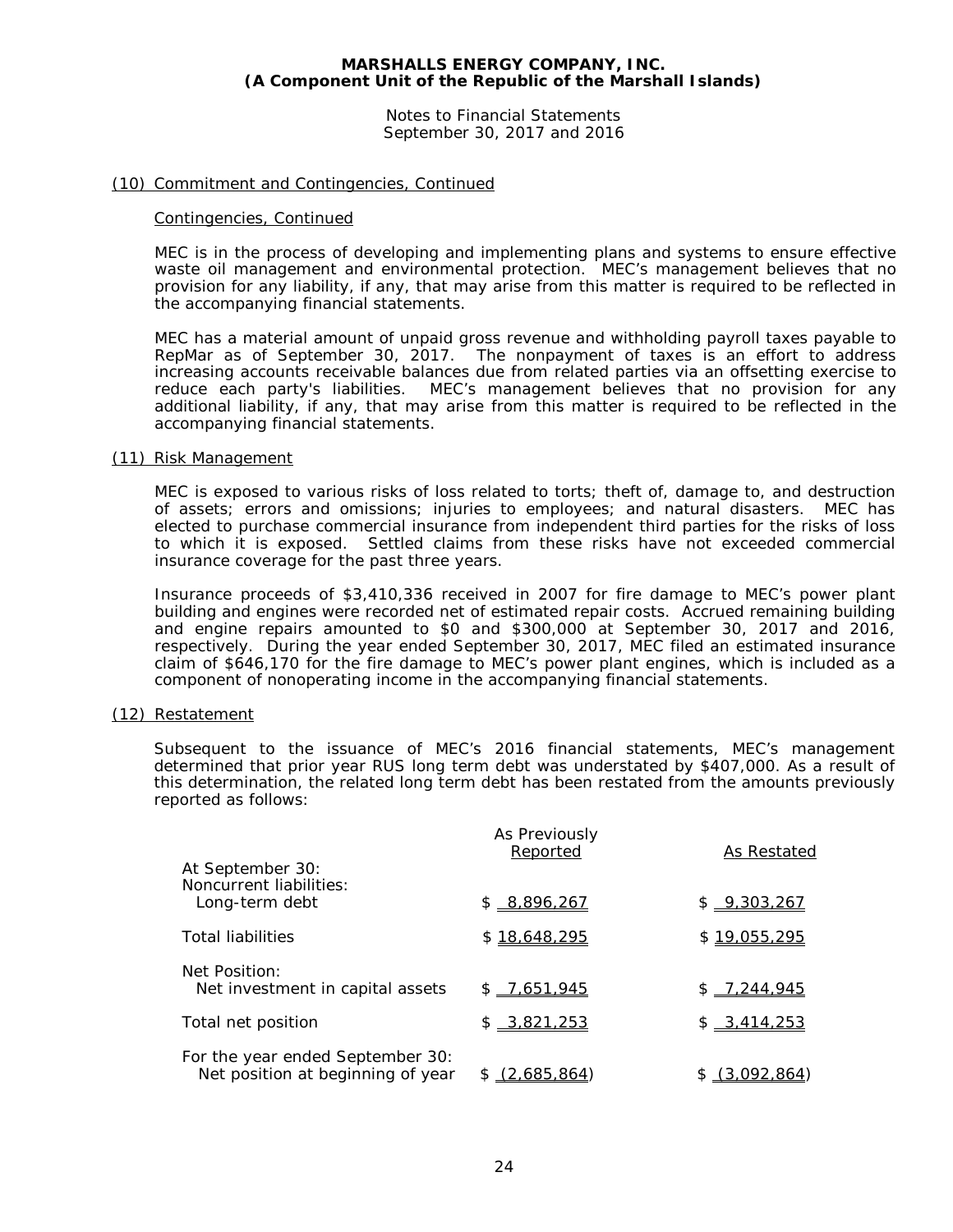Notes to Financial Statements September 30, 2017 and 2016

# (10) Commitment and Contingencies, Continued

#### Contingencies, Continued

MEC is in the process of developing and implementing plans and systems to ensure effective waste oil management and environmental protection. MEC's management believes that no provision for any liability, if any, that may arise from this matter is required to be reflected in the accompanying financial statements.

MEC has a material amount of unpaid gross revenue and withholding payroll taxes payable to RepMar as of September 30, 2017. The nonpayment of taxes is an effort to address increasing accounts receivable balances due from related parties via an offsetting exercise to reduce each party's liabilities. MEC's management believes that no provision for any additional liability, if any, that may arise from this matter is required to be reflected in the accompanying financial statements.

#### (11) Risk Management

MEC is exposed to various risks of loss related to torts; theft of, damage to, and destruction of assets; errors and omissions; injuries to employees; and natural disasters. MEC has elected to purchase commercial insurance from independent third parties for the risks of loss to which it is exposed. Settled claims from these risks have not exceeded commercial insurance coverage for the past three years.

Insurance proceeds of \$3,410,336 received in 2007 for fire damage to MEC's power plant building and engines were recorded net of estimated repair costs. Accrued remaining building and engine repairs amounted to \$0 and \$300,000 at September 30, 2017 and 2016, respectively. During the year ended September 30, 2017, MEC filed an estimated insurance claim of \$646,170 for the fire damage to MEC's power plant engines, which is included as a component of nonoperating income in the accompanying financial statements.

#### (12) Restatement

Subsequent to the issuance of MEC's 2016 financial statements, MEC's management determined that prior year RUS long term debt was understated by \$407,000. As a result of this determination, the related long term debt has been restated from the amounts previously reported as follows:

|                                                                       | As Previously<br>Reported | As Restated       |
|-----------------------------------------------------------------------|---------------------------|-------------------|
| At September 30:<br>Noncurrent liabilities:<br>Long-term debt         | \$8,896,267               | \$9,303,267       |
| Total liabilities                                                     | \$18,648,295              | \$19,055,295      |
| Net Position:<br>Net investment in capital assets                     | $$ -7,651,945$            | $$ -7,244,945$    |
| Total net position                                                    | $$ -3,821,253$            | $$ -3,414,253$    |
| For the year ended September 30:<br>Net position at beginning of year | \$(2,685,864)             | $$^{(3,092,864)}$ |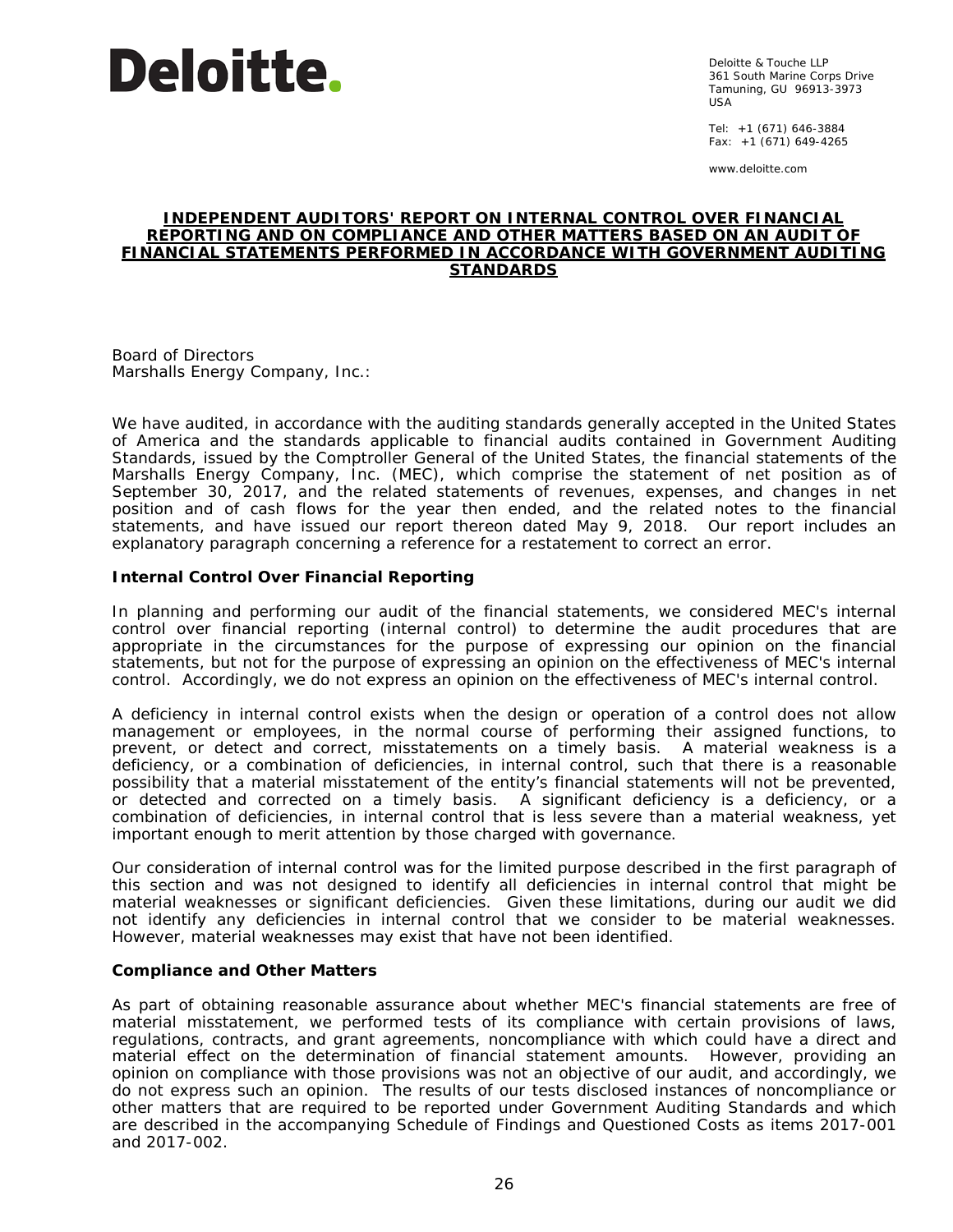

Deloitte & Touche LLP 361 South Marine Corps Drive Tamuning, GU 96913-3973 USA

Tel: +1 (671) 646-3884 Fax: +1 (671) 649-4265

www.deloitte.com

# **INDEPENDENT AUDITORS' REPORT ON INTERNAL CONTROL OVER FINANCIAL REPORTING AND ON COMPLIANCE AND OTHER MATTERS BASED ON AN AUDIT OF FINANCIAL STATEMENTS PERFORMED IN ACCORDANCE WITH** *GOVERNMENT AUDITING STANDARDS*

Board of Directors Marshalls Energy Company, Inc.:

We have audited, in accordance with the auditing standards generally accepted in the United States of America and the standards applicable to financial audits contained in *Government Auditing Standards,* issued by the Comptroller General of the United States, the financial statements of the Marshalls Energy Company, Inc. (MEC), which comprise the statement of net position as of September 30, 2017, and the related statements of revenues, expenses, and changes in net position and of cash flows for the year then ended, and the related notes to the financial statements, and have issued our report thereon dated May 9, 2018. Our report includes an explanatory paragraph concerning a reference for a restatement to correct an error.

# **Internal Control Over Financial Reporting**

In planning and performing our audit of the financial statements, we considered MEC's internal control over financial reporting (internal control) to determine the audit procedures that are appropriate in the circumstances for the purpose of expressing our opinion on the financial statements, but not for the purpose of expressing an opinion on the effectiveness of MEC's internal control. Accordingly, we do not express an opinion on the effectiveness of MEC's internal control.

A *deficiency in internal control* exists when the design or operation of a control does not allow management or employees, in the normal course of performing their assigned functions, to prevent, or detect and correct, misstatements on a timely basis. A *material weakness* is a deficiency, or a combination of deficiencies, in internal control, such that there is a reasonable possibility that a material misstatement of the entity's financial statements will not be prevented, or detected and corrected on a timely basis. A *significant deficiency* is a deficiency, or a combination of deficiencies, in internal control that is less severe than a material weakness, yet important enough to merit attention by those charged with governance.

Our consideration of internal control was for the limited purpose described in the first paragraph of this section and was not designed to identify all deficiencies in internal control that might be material weaknesses or significant deficiencies. Given these limitations, during our audit we did not identify any deficiencies in internal control that we consider to be material weaknesses. However, material weaknesses may exist that have not been identified.

# **Compliance and Other Matters**

As part of obtaining reasonable assurance about whether MEC's financial statements are free of material misstatement, we performed tests of its compliance with certain provisions of laws, regulations, contracts, and grant agreements, noncompliance with which could have a direct and material effect on the determination of financial statement amounts. However, providing an opinion on compliance with those provisions was not an objective of our audit, and accordingly, we do not express such an opinion. The results of our tests disclosed instances of noncompliance or other matters that are required to be reported under *Government Auditing Standards* and which are described in the accompanying Schedule of Findings and Questioned Costs as items 2017-001 and 2017-002.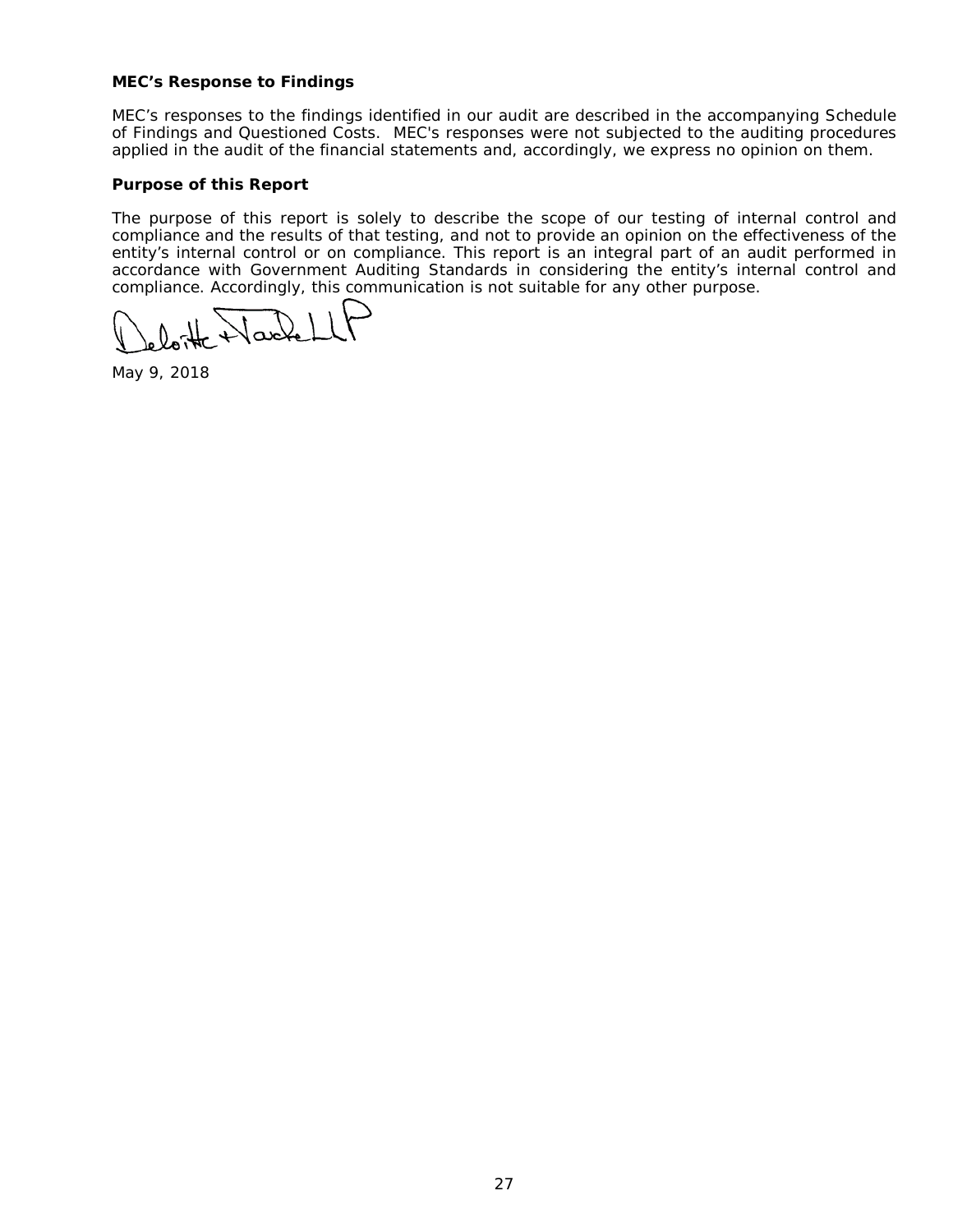# **MEC's Response to Findings**

MEC's responses to the findings identified in our audit are described in the accompanying Schedule of Findings and Questioned Costs. MEC's responses were not subjected to the auditing procedures applied in the audit of the financial statements and, accordingly, we express no opinion on them.

# **Purpose of this Report**

The purpose of this report is solely to describe the scope of our testing of internal control and compliance and the results of that testing, and not to provide an opinion on the effectiveness of the entity's internal control or on compliance. This report is an integral part of an audit performed in accordance with *Government Auditing Standards* in considering the entity's internal control and compliance. Accordingly, this communication is not suitable for any other purpose.

May 9, 2018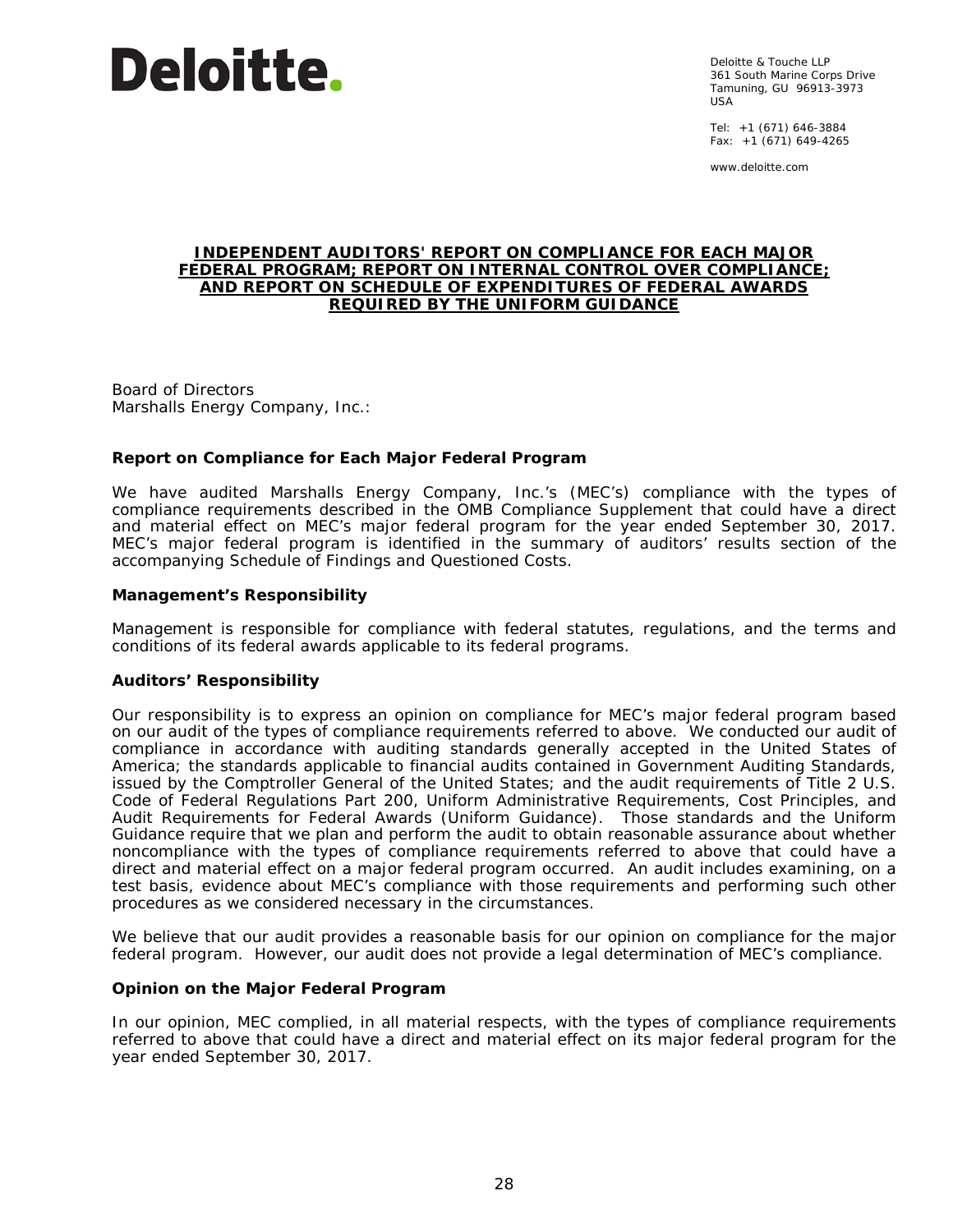

Deloitte & Touche LLP 361 South Marine Corps Drive Tamuning, GU 96913-3973 USA

Tel: +1 (671) 646-3884 Fax:  $+1$  (671) 649-4265

www.deloitte.com

#### **INDEPENDENT AUDITORS' REPORT ON COMPLIANCE FOR EACH MAJOR FEDERAL PROGRAM; REPORT ON INTERNAL CONTROL OVER COMPLIANCE; AND REPORT ON SCHEDULE OF EXPENDITURES OF FEDERAL AWARDS REQUIRED BY THE UNIFORM GUIDANCE**

Board of Directors Marshalls Energy Company, Inc.:

# **Report on Compliance for Each Major Federal Program**

We have audited Marshalls Energy Company, Inc.'s (MEC's) compliance with the types of compliance requirements described in the *OMB Compliance Supplement* that could have a direct and material effect on MEC's major federal program for the year ended September 30, 2017. MEC's major federal program is identified in the summary of auditors' results section of the accompanying Schedule of Findings and Questioned Costs.

# *Management's Responsibility*

Management is responsible for compliance with federal statutes, regulations, and the terms and conditions of its federal awards applicable to its federal programs.

# *Auditors' Responsibility*

Our responsibility is to express an opinion on compliance for MEC's major federal program based on our audit of the types of compliance requirements referred to above. We conducted our audit of compliance in accordance with auditing standards generally accepted in the United States of America; the standards applicable to financial audits contained in *Government Auditing Standards*, issued by the Comptroller General of the United States; and the audit requirements of Title 2 U.S. *Code of Federal Regulations* Part 200, *Uniform Administrative Requirements, Cost Principles, and Audit Requirements for Federal Awards* (Uniform Guidance). Those standards and the Uniform Guidance require that we plan and perform the audit to obtain reasonable assurance about whether noncompliance with the types of compliance requirements referred to above that could have a direct and material effect on a major federal program occurred. An audit includes examining, on a test basis, evidence about MEC's compliance with those requirements and performing such other procedures as we considered necessary in the circumstances.

We believe that our audit provides a reasonable basis for our opinion on compliance for the major federal program. However, our audit does not provide a legal determination of MEC's compliance.

# *Opinion on the Major Federal Program*

In our opinion, MEC complied, in all material respects, with the types of compliance requirements referred to above that could have a direct and material effect on its major federal program for the year ended September 30, 2017.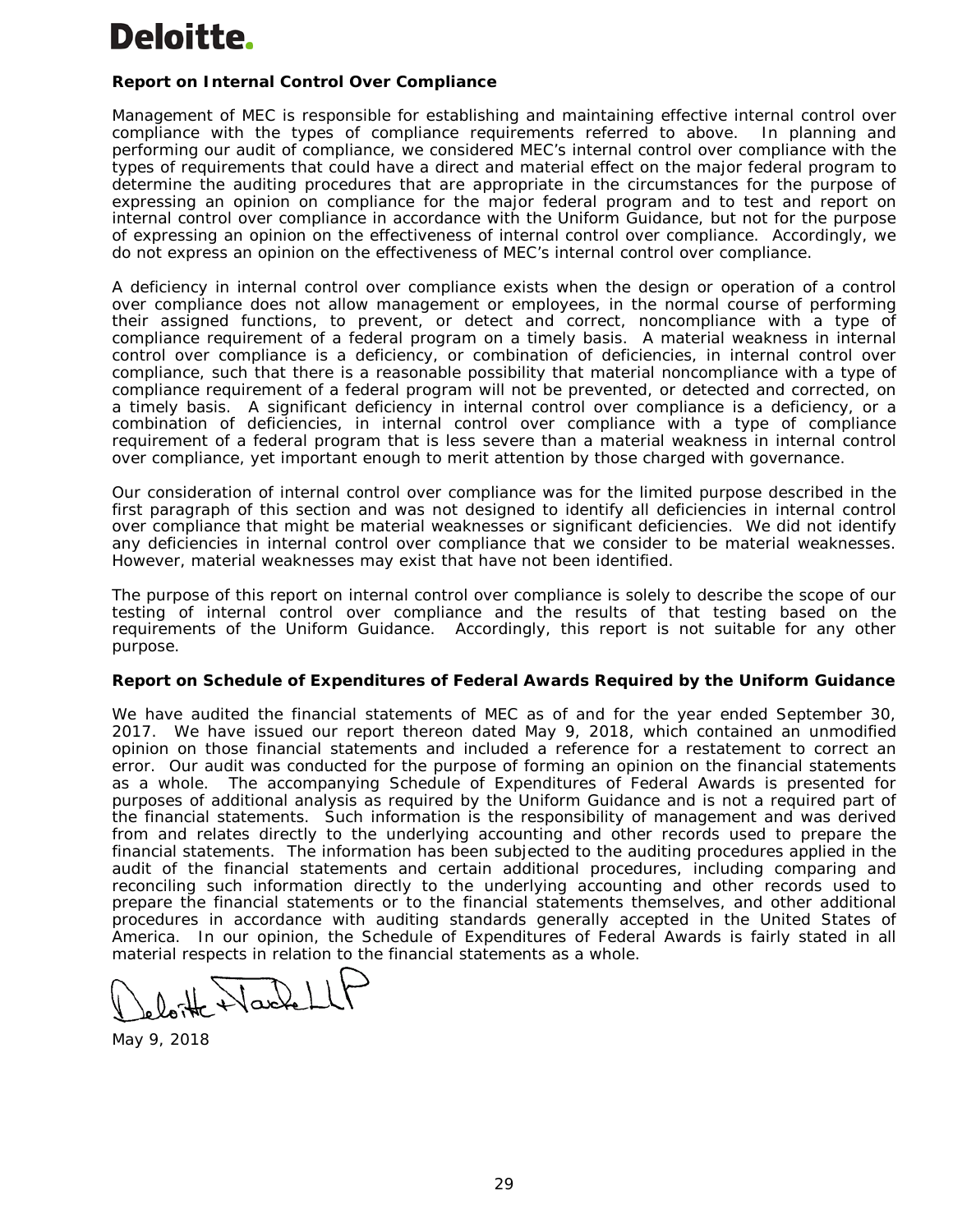# Deloitte.

# **Report on Internal Control Over Compliance**

Management of MEC is responsible for establishing and maintaining effective internal control over compliance with the types of compliance requirements referred to above. In planning and performing our audit of compliance, we considered MEC's internal control over compliance with the types of requirements that could have a direct and material effect on the major federal program to determine the auditing procedures that are appropriate in the circumstances for the purpose of expressing an opinion on compliance for the major federal program and to test and report on internal control over compliance in accordance with the Uniform Guidance, but not for the purpose of expressing an opinion on the effectiveness of internal control over compliance. Accordingly, we do not express an opinion on the effectiveness of MEC's internal control over compliance.

A *deficiency in internal control over compliance* exists when the design or operation of a control over compliance does not allow management or employees, in the normal course of performing their assigned functions, to prevent, or detect and correct, noncompliance with a type of compliance requirement of a federal program on a timely basis. A *material weakness in internal control over compliance* is a deficiency, or combination of deficiencies, in internal control over compliance, such that there is a reasonable possibility that material noncompliance with a type of compliance requirement of a federal program will not be prevented, or detected and corrected, on a timely basis. A *significant deficiency in internal control over compliance* is a deficiency, or a combination of deficiencies, in internal control over compliance with a type of compliance requirement of a federal program that is less severe than a material weakness in internal control over compliance, yet important enough to merit attention by those charged with governance.

Our consideration of internal control over compliance was for the limited purpose described in the first paragraph of this section and was not designed to identify all deficiencies in internal control over compliance that might be material weaknesses or significant deficiencies. We did not identify any deficiencies in internal control over compliance that we consider to be material weaknesses. However, material weaknesses may exist that have not been identified.

The purpose of this report on internal control over compliance is solely to describe the scope of our testing of internal control over compliance and the results of that testing based on the requirements of the Uniform Guidance. Accordingly, this report is not suitable for any other purpose.

# **Report on Schedule of Expenditures of Federal Awards Required by the Uniform Guidance**

We have audited the financial statements of MEC as of and for the year ended September 30, 2017. We have issued our report thereon dated May 9, 2018, which contained an unmodified opinion on those financial statements and included a reference for a restatement to correct an error. Our audit was conducted for the purpose of forming an opinion on the financial statements as a whole. The accompanying Schedule of Expenditures of Federal Awards is presented for purposes of additional analysis as required by the Uniform Guidance and is not a required part of the financial statements. Such information is the responsibility of management and was derived from and relates directly to the underlying accounting and other records used to prepare the financial statements. The information has been subjected to the auditing procedures applied in the audit of the financial statements and certain additional procedures, including comparing and reconciling such information directly to the underlying accounting and other records used to prepare the financial statements or to the financial statements themselves, and other additional procedures in accordance with auditing standards generally accepted in the United States of America. In our opinion, the Schedule of Expenditures of Federal Awards is fairly stated in all material respects in relation to the financial statements as a whole.

F Harlel

May 9, 2018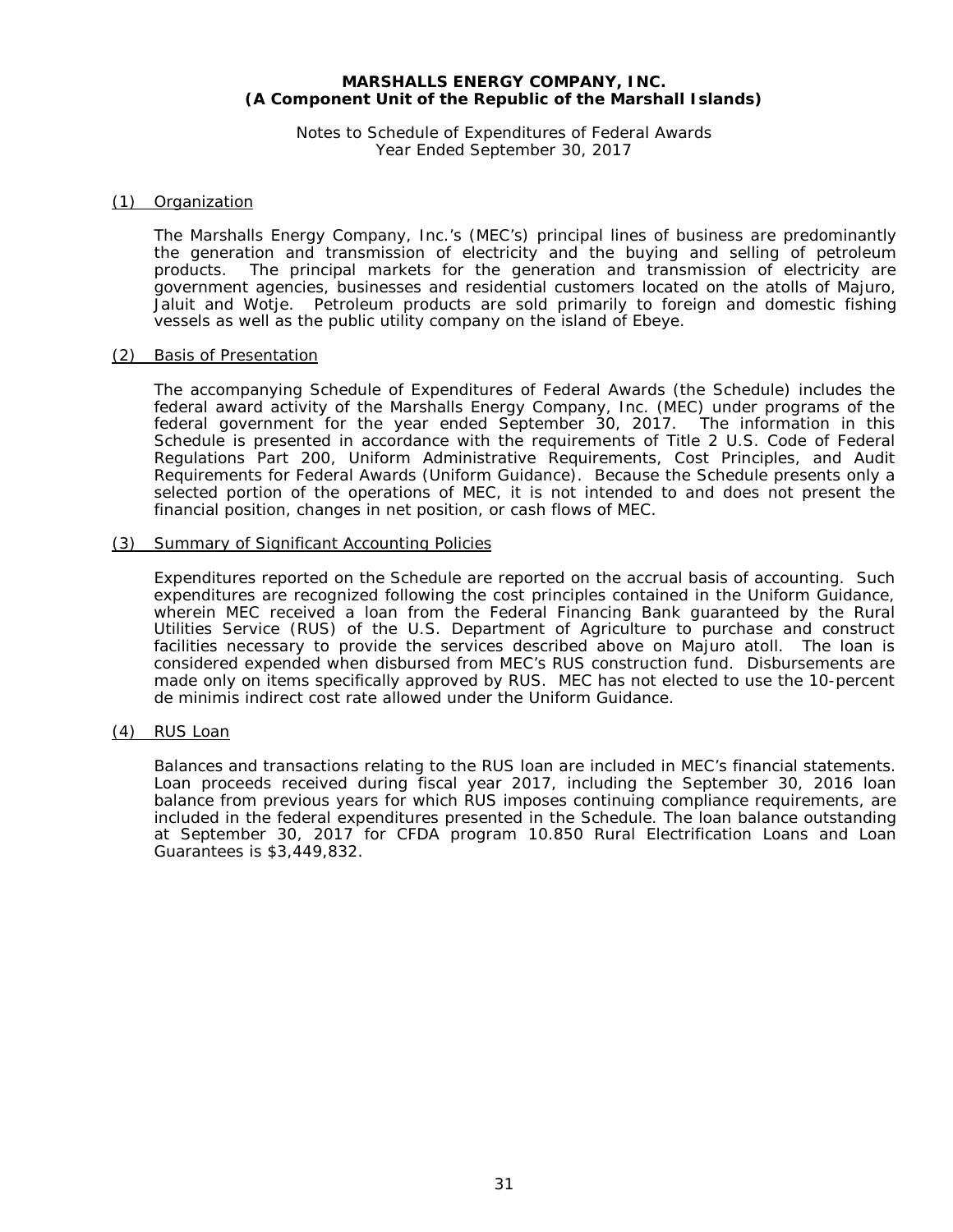Notes to Schedule of Expenditures of Federal Awards Year Ended September 30, 2017

#### (1) Organization

The Marshalls Energy Company, Inc.'s (MEC's) principal lines of business are predominantly the generation and transmission of electricity and the buying and selling of petroleum products. The principal markets for the generation and transmission of electricity are government agencies, businesses and residential customers located on the atolls of Majuro, Jaluit and Wotje. Petroleum products are sold primarily to foreign and domestic fishing vessels as well as the public utility company on the island of Ebeye.

#### (2) Basis of Presentation

The accompanying Schedule of Expenditures of Federal Awards (the Schedule) includes the federal award activity of the Marshalls Energy Company, Inc. (MEC) under programs of the federal government for the year ended September 30, 2017. The information in this Schedule is presented in accordance with the requirements of Title 2 *U.S. Code of Federal Regulations* Part 200, *Uniform Administrative Requirements, Cost Principles, and Audit Requirements for Federal Awards* (Uniform Guidance). Because the Schedule presents only a selected portion of the operations of MEC, it is not intended to and does not present the financial position, changes in net position, or cash flows of MEC.

#### (3) Summary of Significant Accounting Policies

Expenditures reported on the Schedule are reported on the accrual basis of accounting. Such expenditures are recognized following the cost principles contained in the Uniform Guidance, wherein MEC received a loan from the Federal Financing Bank guaranteed by the Rural Utilities Service (RUS) of the U.S. Department of Agriculture to purchase and construct facilities necessary to provide the services described above on Majuro atoll. The loan is considered expended when disbursed from MEC's RUS construction fund. Disbursements are made only on items specifically approved by RUS. MEC has not elected to use the 10-percent de minimis indirect cost rate allowed under the Uniform Guidance.

# (4) RUS Loan

Balances and transactions relating to the RUS loan are included in MEC's financial statements. Loan proceeds received during fiscal year 2017, including the September 30, 2016 loan balance from previous years for which RUS imposes continuing compliance requirements, are included in the federal expenditures presented in the Schedule. The loan balance outstanding at September 30, 2017 for CFDA program 10.850 Rural Electrification Loans and Loan Guarantees is \$3,449,832.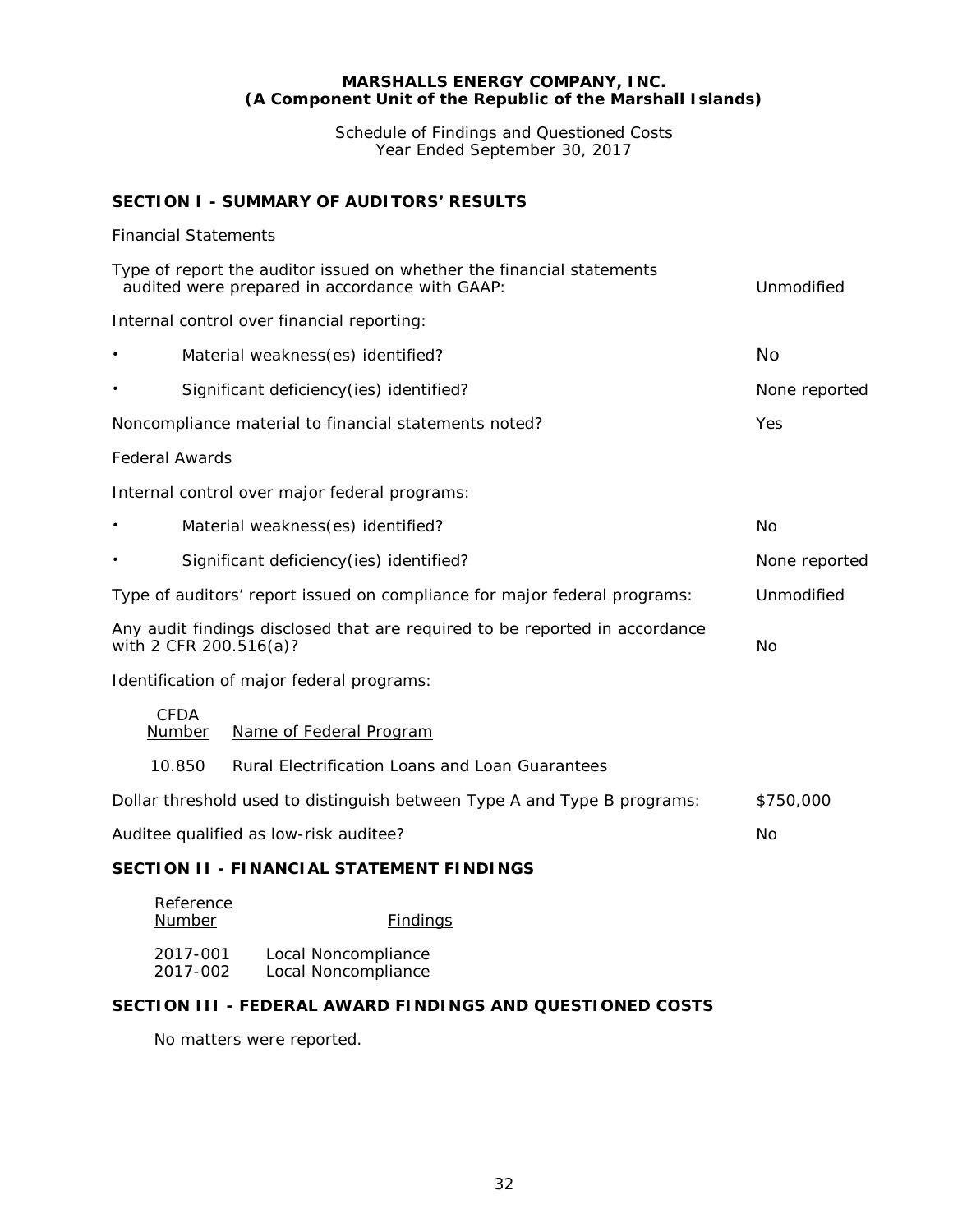Schedule of Findings and Questioned Costs Year Ended September 30, 2017

# **SECTION I - SUMMARY OF AUDITORS' RESULTS**

# *Financial Statements*

|   | audited were prepared in accordance with GAAP:        | Type of report the auditor issued on whether the financial statements       | Unmodified    |
|---|-------------------------------------------------------|-----------------------------------------------------------------------------|---------------|
|   | Internal control over financial reporting:            |                                                                             |               |
|   | Material weakness(es) identified?                     |                                                                             | <b>No</b>     |
|   | Significant deficiency(ies) identified?               |                                                                             | None reported |
|   | Noncompliance material to financial statements noted? |                                                                             | Yes           |
|   | <b>Federal Awards</b>                                 |                                                                             |               |
|   | Internal control over major federal programs:         |                                                                             |               |
|   | Material weakness(es) identified?                     |                                                                             | <b>No</b>     |
| ٠ | Significant deficiency(ies) identified?               |                                                                             | None reported |
|   |                                                       | Type of auditors' report issued on compliance for major federal programs:   | Unmodified    |
|   | with 2 CFR 200.516(a)?                                | Any audit findings disclosed that are required to be reported in accordance | No            |
|   | Identification of major federal programs:             |                                                                             |               |
|   | <b>CFDA</b><br>Number<br>Name of Federal Program      |                                                                             |               |
|   | 10.850                                                | Rural Electrification Loans and Loan Guarantees                             |               |
|   |                                                       | Dollar threshold used to distinguish between Type A and Type B programs:    | \$750,000     |
|   | Auditee qualified as low-risk auditee?                |                                                                             | <b>No</b>     |
|   | SECTION II - FINANCIAL STATEMENT FINDINGS             |                                                                             |               |
|   | Reference<br><b>Number</b>                            | <b>Findings</b>                                                             |               |
|   | .                                                     |                                                                             |               |

| 2017-001 | Local Noncompliance |
|----------|---------------------|
| 2017-002 | Local Noncompliance |

# **SECTION III - FEDERAL AWARD FINDINGS AND QUESTIONED COSTS**

No matters were reported.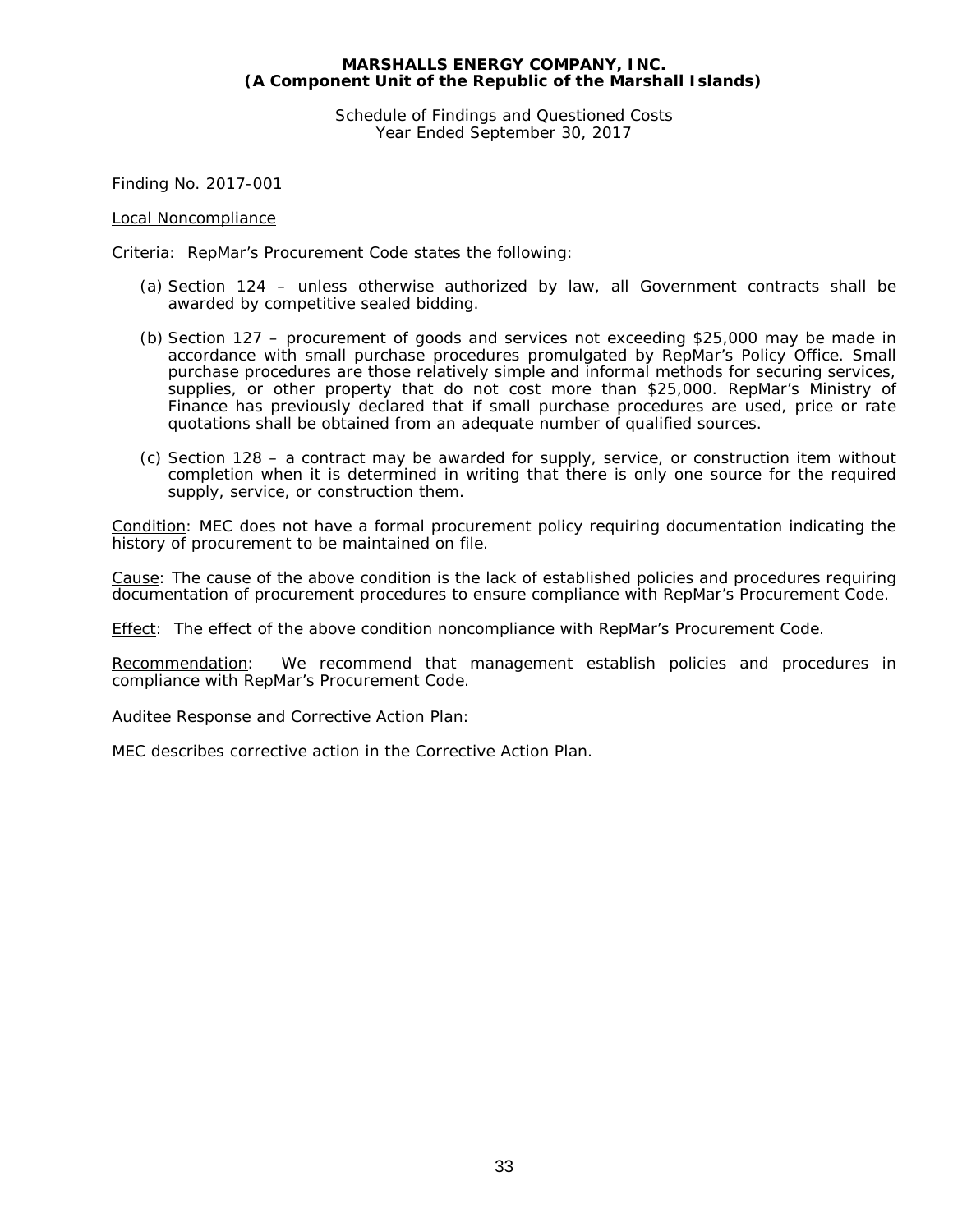Schedule of Findings and Questioned Costs Year Ended September 30, 2017

Finding No. 2017-001

# Local Noncompliance

Criteria: RepMar's Procurement Code states the following:

- (a) Section 124 unless otherwise authorized by law, all Government contracts shall be awarded by competitive sealed bidding.
- (b) Section 127 procurement of goods and services not exceeding \$25,000 may be made in accordance with small purchase procedures promulgated by RepMar's Policy Office. Small purchase procedures are those relatively simple and informal methods for securing services, supplies, or other property that do not cost more than \$25,000. RepMar's Ministry of Finance has previously declared that if small purchase procedures are used, price or rate quotations shall be obtained from an adequate number of qualified sources.
- (c) Section 128 a contract may be awarded for supply, service, or construction item without completion when it is determined in writing that there is only one source for the required supply, service, or construction them.

Condition: MEC does not have a formal procurement policy requiring documentation indicating the history of procurement to be maintained on file.

Cause: The cause of the above condition is the lack of established policies and procedures requiring documentation of procurement procedures to ensure compliance with RepMar's Procurement Code.

Effect: The effect of the above condition noncompliance with RepMar's Procurement Code.

Recommendation: We recommend that management establish policies and procedures in compliance with RepMar's Procurement Code.

Auditee Response and Corrective Action Plan:

MEC describes corrective action in the Corrective Action Plan.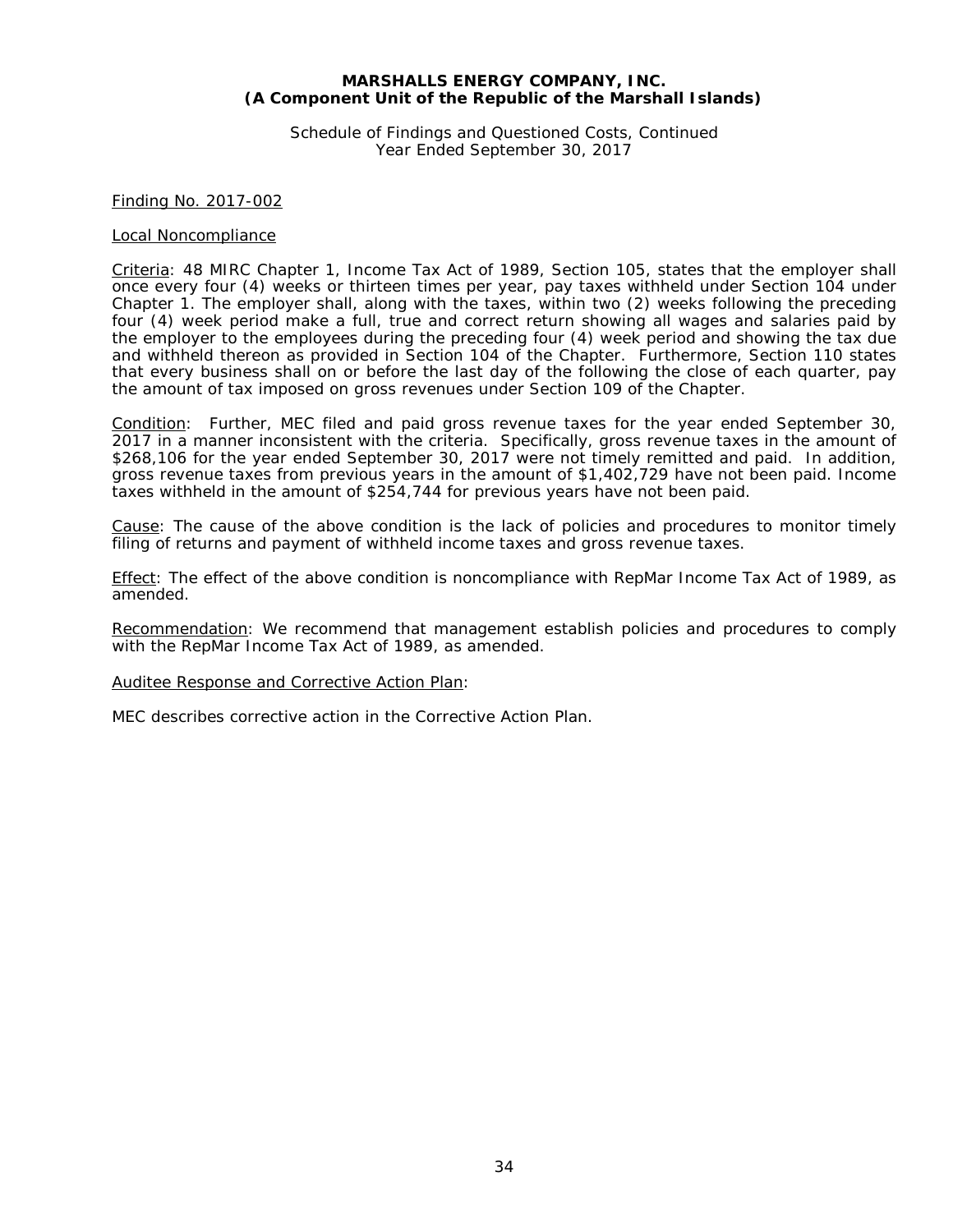Schedule of Findings and Questioned Costs, Continued Year Ended September 30, 2017

#### Finding No. 2017-002

# Local Noncompliance

Criteria: 48 MIRC Chapter 1, Income Tax Act of 1989, Section 105, states that the employer shall once every four (4) weeks or thirteen times per year, pay taxes withheld under Section 104 under Chapter 1. The employer shall, along with the taxes, within two (2) weeks following the preceding four (4) week period make a full, true and correct return showing all wages and salaries paid by the employer to the employees during the preceding four (4) week period and showing the tax due and withheld thereon as provided in Section 104 of the Chapter. Furthermore, Section 110 states that every business shall on or before the last day of the following the close of each quarter, pay the amount of tax imposed on gross revenues under Section 109 of the Chapter.

Condition: Further, MEC filed and paid gross revenue taxes for the year ended September 30, 2017 in a manner inconsistent with the criteria. Specifically, gross revenue taxes in the amount of \$268,106 for the year ended September 30, 2017 were not timely remitted and paid. In addition, gross revenue taxes from previous years in the amount of \$1,402,729 have not been paid. Income taxes withheld in the amount of \$254,744 for previous years have not been paid.

Cause: The cause of the above condition is the lack of policies and procedures to monitor timely filing of returns and payment of withheld income taxes and gross revenue taxes.

Effect: The effect of the above condition is noncompliance with RepMar Income Tax Act of 1989, as amended.

Recommendation: We recommend that management establish policies and procedures to comply with the RepMar Income Tax Act of 1989, as amended.

#### Auditee Response and Corrective Action Plan:

MEC describes corrective action in the Corrective Action Plan.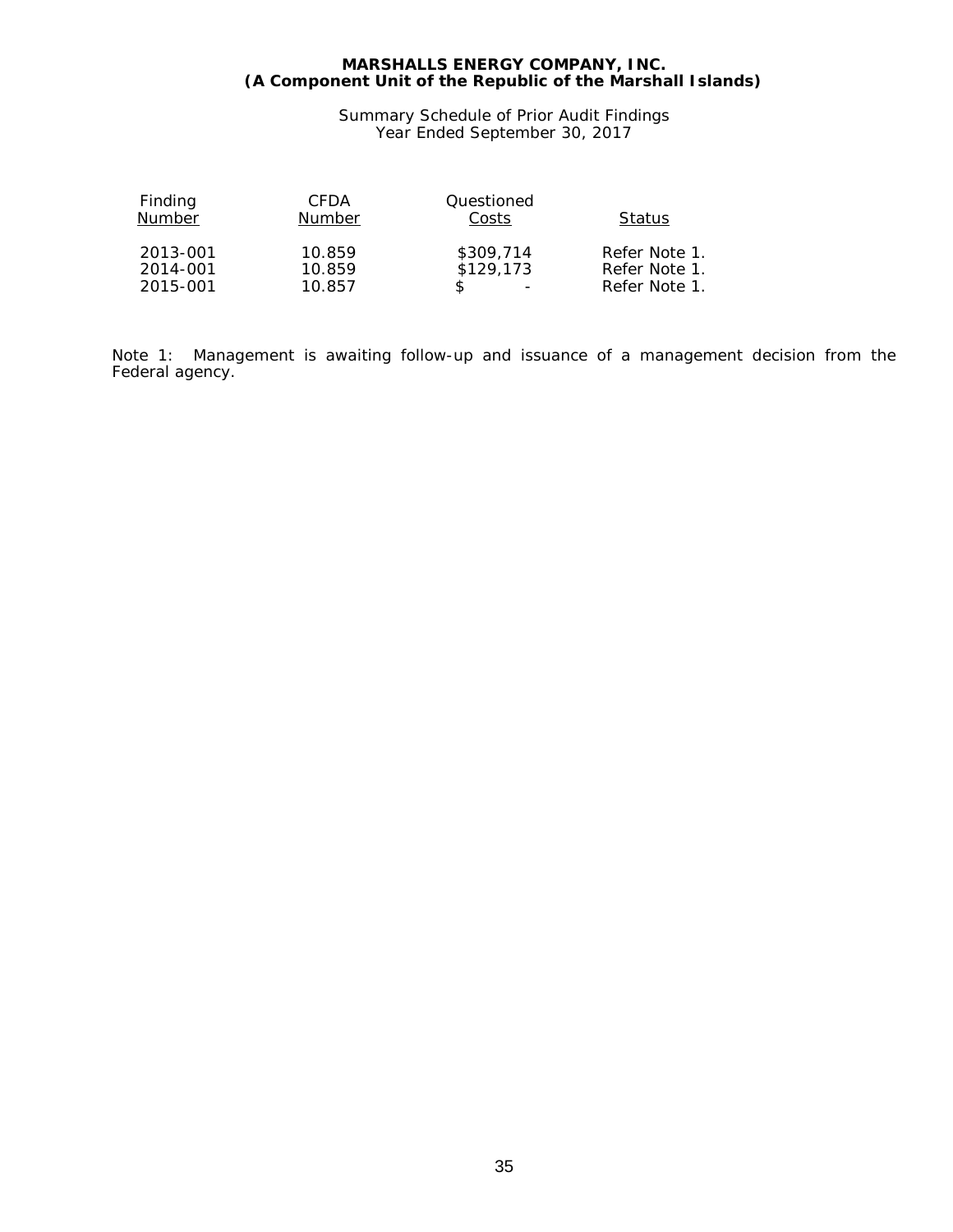Summary Schedule of Prior Audit Findings Year Ended September 30, 2017

| Finding<br>Number | <b>CFDA</b><br>Number | Questioned<br>Costs | Status        |
|-------------------|-----------------------|---------------------|---------------|
| 2013-001          | 10.859                | \$309.714           | Refer Note 1. |
| 2014-001          | 10.859                | \$129,173           | Refer Note 1. |
| 2015-001          | 10.857                |                     | Refer Note 1. |

Note 1: Management is awaiting follow-up and issuance of a management decision from the Federal agency.